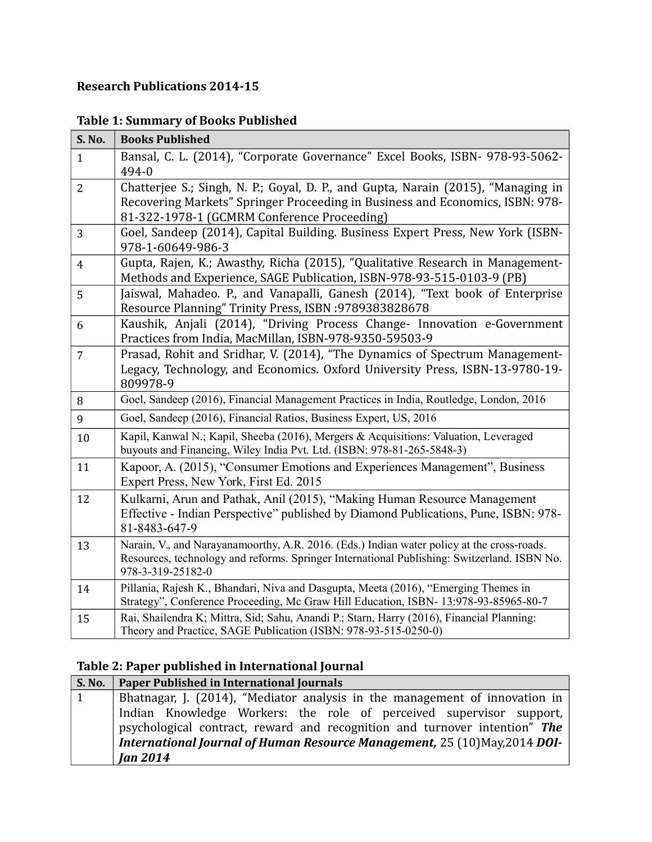### **Research Publications 2014-15**

### **Table 1: Summary of Books Published**

| <b>S. No.</b>  | <b>Books Published</b>                                                                                                                                                                                            |
|----------------|-------------------------------------------------------------------------------------------------------------------------------------------------------------------------------------------------------------------|
| $\mathbf{1}$   | Bansal, C. L. (2014), "Corporate Governance" Excel Books, ISBN- 978-93-5062-<br>494-0                                                                                                                             |
| $\overline{2}$ | Chatterjee S.; Singh, N. P.; Goyal, D. P., and Gupta, Narain (2015), "Managing in<br>Recovering Markets" Springer Proceeding in Business and Economics, ISBN: 978-<br>81-322-1978-1 (GCMRM Conference Proceeding) |
| 3              | Goel, Sandeep (2014), Capital Building. Business Expert Press, New York (ISBN-<br>978-1-60649-986-3                                                                                                               |
| $\overline{4}$ | Gupta, Rajen, K.; Awasthy, Richa (2015), "Qualitative Research in Management-<br>Methods and Experience, SAGE Publication, ISBN-978-93-515-0103-9 (PB)                                                            |
| 5              | Jaiswal, Mahadeo. P., and Vanapalli, Ganesh (2014), "Text book of Enterprise<br>Resource Planning" Trinity Press, ISBN :9789383828678                                                                             |
| 6              | Kaushik, Anjali (2014), "Driving Process Change- Innovation e-Government<br>Practices from India, MacMillan, ISBN-978-9350-59503-9                                                                                |
| $\overline{7}$ | Prasad, Rohit and Sridhar, V. (2014), "The Dynamics of Spectrum Management-<br>Legacy, Technology, and Economics. Oxford University Press, ISBN-13-9780-19-<br>809978-9                                           |
| 8              | Goel, Sandeep (2016), Financial Management Practices in India, Routledge, London, 2016                                                                                                                            |
| 9              | Goel, Sandeep (2016), Financial Ratios, Business Expert, US, 2016                                                                                                                                                 |
| 10             | Kapil, Kanwal N.; Kapil, Sheeba (2016), Mergers & Acquisitions: Valuation, Leveraged<br>buyouts and Financing, Wiley India Pvt. Ltd. (ISBN: 978-81-265-5848-3)                                                    |
| 11             | Kapoor, A. (2015), "Consumer Emotions and Experiences Management", Business<br>Expert Press, New York, First Ed. 2015                                                                                             |
| 12             | Kulkarni, Arun and Pathak, Anil (2015), "Making Human Resource Management<br>Effective - Indian Perspective" published by Diamond Publications, Pune, ISBN: 978-<br>81-8483-647-9                                 |
| 13             | Narain, V., and Narayanamoorthy, A.R. 2016. (Eds.) Indian water policy at the cross-roads.<br>Resources, technology and reforms. Springer International Publishing: Switzerland. ISBN No.<br>978-3-319-25182-0    |
| 14             | Pillania, Rajesh K., Bhandari, Niva and Dasgupta, Meeta (2016), "Emerging Themes in<br>Strategy", Conference Proceeding, Mc Graw Hill Education, ISBN- 13:978-93-85965-80-7                                       |
| 15             | Rai, Shailendra K; Mittra, Sid; Sahu, Anandi P.; Starn, Harry (2016), Financial Planning:<br>Theory and Practice, SAGE Publication (ISBN: 978-93-515-0250-0)                                                      |

### **Table 2: Paper published in International Journal**

| <b>S. No.</b> | Paper Published in International Journals                                         |
|---------------|-----------------------------------------------------------------------------------|
| 1             | Bhatnagar, J. (2014), "Mediator analysis in the management of innovation in       |
|               | Indian Knowledge Workers: the role of perceived supervisor support,               |
|               | psychological contract, reward and recognition and turnover intention" The        |
|               | <b>International Journal of Human Resource Management, 25 (10) May, 2014 DOI-</b> |
|               | <b>Jan 2014</b>                                                                   |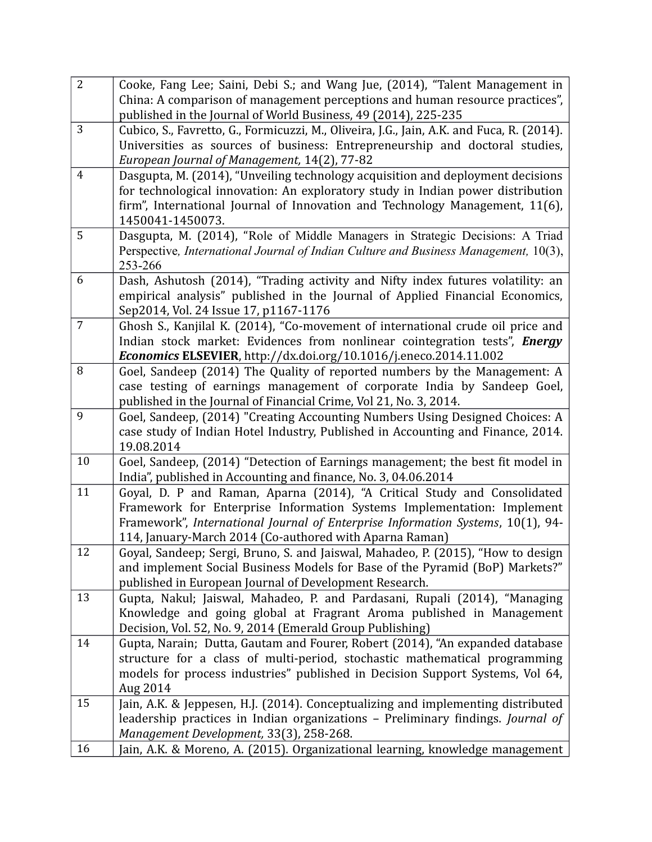| China: A comparison of management perceptions and human resource practices",<br>published in the Journal of World Business, 49 (2014), 225-235<br>3<br>Cubico, S., Favretto, G., Formicuzzi, M., Oliveira, J.G., Jain, A.K. and Fuca, R. (2014).<br>Universities as sources of business: Entrepreneurship and doctoral studies,<br>European Journal of Management, 14(2), 77-82<br>$\overline{4}$<br>Dasgupta, M. (2014), "Unveiling technology acquisition and deployment decisions<br>for technological innovation: An exploratory study in Indian power distribution<br>firm", International Journal of Innovation and Technology Management, 11(6),<br>1450041-1450073.<br>5<br>Dasgupta, M. (2014), "Role of Middle Managers in Strategic Decisions: A Triad<br>Perspective, International Journal of Indian Culture and Business Management, 10(3),<br>253-266<br>6<br>Dash, Ashutosh (2014), "Trading activity and Nifty index futures volatility: an<br>empirical analysis" published in the Journal of Applied Financial Economics,<br>Sep2014, Vol. 24 Issue 17, p1167-1176<br>$\overline{7}$<br>Ghosh S., Kanjilal K. (2014), "Co-movement of international crude oil price and<br>Indian stock market: Evidences from nonlinear cointegration tests", Energy<br>Economics ELSEVIER, http://dx.doi.org/10.1016/j.eneco.2014.11.002<br>8<br>Goel, Sandeep (2014) The Quality of reported numbers by the Management: A |
|---------------------------------------------------------------------------------------------------------------------------------------------------------------------------------------------------------------------------------------------------------------------------------------------------------------------------------------------------------------------------------------------------------------------------------------------------------------------------------------------------------------------------------------------------------------------------------------------------------------------------------------------------------------------------------------------------------------------------------------------------------------------------------------------------------------------------------------------------------------------------------------------------------------------------------------------------------------------------------------------------------------------------------------------------------------------------------------------------------------------------------------------------------------------------------------------------------------------------------------------------------------------------------------------------------------------------------------------------------------------------------------------------------------------------------|
|                                                                                                                                                                                                                                                                                                                                                                                                                                                                                                                                                                                                                                                                                                                                                                                                                                                                                                                                                                                                                                                                                                                                                                                                                                                                                                                                                                                                                                 |
|                                                                                                                                                                                                                                                                                                                                                                                                                                                                                                                                                                                                                                                                                                                                                                                                                                                                                                                                                                                                                                                                                                                                                                                                                                                                                                                                                                                                                                 |
|                                                                                                                                                                                                                                                                                                                                                                                                                                                                                                                                                                                                                                                                                                                                                                                                                                                                                                                                                                                                                                                                                                                                                                                                                                                                                                                                                                                                                                 |
|                                                                                                                                                                                                                                                                                                                                                                                                                                                                                                                                                                                                                                                                                                                                                                                                                                                                                                                                                                                                                                                                                                                                                                                                                                                                                                                                                                                                                                 |
|                                                                                                                                                                                                                                                                                                                                                                                                                                                                                                                                                                                                                                                                                                                                                                                                                                                                                                                                                                                                                                                                                                                                                                                                                                                                                                                                                                                                                                 |
|                                                                                                                                                                                                                                                                                                                                                                                                                                                                                                                                                                                                                                                                                                                                                                                                                                                                                                                                                                                                                                                                                                                                                                                                                                                                                                                                                                                                                                 |
|                                                                                                                                                                                                                                                                                                                                                                                                                                                                                                                                                                                                                                                                                                                                                                                                                                                                                                                                                                                                                                                                                                                                                                                                                                                                                                                                                                                                                                 |
|                                                                                                                                                                                                                                                                                                                                                                                                                                                                                                                                                                                                                                                                                                                                                                                                                                                                                                                                                                                                                                                                                                                                                                                                                                                                                                                                                                                                                                 |
|                                                                                                                                                                                                                                                                                                                                                                                                                                                                                                                                                                                                                                                                                                                                                                                                                                                                                                                                                                                                                                                                                                                                                                                                                                                                                                                                                                                                                                 |
|                                                                                                                                                                                                                                                                                                                                                                                                                                                                                                                                                                                                                                                                                                                                                                                                                                                                                                                                                                                                                                                                                                                                                                                                                                                                                                                                                                                                                                 |
|                                                                                                                                                                                                                                                                                                                                                                                                                                                                                                                                                                                                                                                                                                                                                                                                                                                                                                                                                                                                                                                                                                                                                                                                                                                                                                                                                                                                                                 |
|                                                                                                                                                                                                                                                                                                                                                                                                                                                                                                                                                                                                                                                                                                                                                                                                                                                                                                                                                                                                                                                                                                                                                                                                                                                                                                                                                                                                                                 |
|                                                                                                                                                                                                                                                                                                                                                                                                                                                                                                                                                                                                                                                                                                                                                                                                                                                                                                                                                                                                                                                                                                                                                                                                                                                                                                                                                                                                                                 |
|                                                                                                                                                                                                                                                                                                                                                                                                                                                                                                                                                                                                                                                                                                                                                                                                                                                                                                                                                                                                                                                                                                                                                                                                                                                                                                                                                                                                                                 |
|                                                                                                                                                                                                                                                                                                                                                                                                                                                                                                                                                                                                                                                                                                                                                                                                                                                                                                                                                                                                                                                                                                                                                                                                                                                                                                                                                                                                                                 |
|                                                                                                                                                                                                                                                                                                                                                                                                                                                                                                                                                                                                                                                                                                                                                                                                                                                                                                                                                                                                                                                                                                                                                                                                                                                                                                                                                                                                                                 |
|                                                                                                                                                                                                                                                                                                                                                                                                                                                                                                                                                                                                                                                                                                                                                                                                                                                                                                                                                                                                                                                                                                                                                                                                                                                                                                                                                                                                                                 |
|                                                                                                                                                                                                                                                                                                                                                                                                                                                                                                                                                                                                                                                                                                                                                                                                                                                                                                                                                                                                                                                                                                                                                                                                                                                                                                                                                                                                                                 |
| case testing of earnings management of corporate India by Sandeep Goel,                                                                                                                                                                                                                                                                                                                                                                                                                                                                                                                                                                                                                                                                                                                                                                                                                                                                                                                                                                                                                                                                                                                                                                                                                                                                                                                                                         |
| published in the Journal of Financial Crime, Vol 21, No. 3, 2014.                                                                                                                                                                                                                                                                                                                                                                                                                                                                                                                                                                                                                                                                                                                                                                                                                                                                                                                                                                                                                                                                                                                                                                                                                                                                                                                                                               |
| 9<br>Goel, Sandeep, (2014) "Creating Accounting Numbers Using Designed Choices: A                                                                                                                                                                                                                                                                                                                                                                                                                                                                                                                                                                                                                                                                                                                                                                                                                                                                                                                                                                                                                                                                                                                                                                                                                                                                                                                                               |
| case study of Indian Hotel Industry, Published in Accounting and Finance, 2014.                                                                                                                                                                                                                                                                                                                                                                                                                                                                                                                                                                                                                                                                                                                                                                                                                                                                                                                                                                                                                                                                                                                                                                                                                                                                                                                                                 |
| 19.08.2014                                                                                                                                                                                                                                                                                                                                                                                                                                                                                                                                                                                                                                                                                                                                                                                                                                                                                                                                                                                                                                                                                                                                                                                                                                                                                                                                                                                                                      |
| 10<br>Goel, Sandeep, (2014) "Detection of Earnings management; the best fit model in                                                                                                                                                                                                                                                                                                                                                                                                                                                                                                                                                                                                                                                                                                                                                                                                                                                                                                                                                                                                                                                                                                                                                                                                                                                                                                                                            |
| India", published in Accounting and finance, No. 3, 04.06.2014                                                                                                                                                                                                                                                                                                                                                                                                                                                                                                                                                                                                                                                                                                                                                                                                                                                                                                                                                                                                                                                                                                                                                                                                                                                                                                                                                                  |
| 11<br>Goyal, D. P and Raman, Aparna (2014), "A Critical Study and Consolidated                                                                                                                                                                                                                                                                                                                                                                                                                                                                                                                                                                                                                                                                                                                                                                                                                                                                                                                                                                                                                                                                                                                                                                                                                                                                                                                                                  |
| Framework for Enterprise Information Systems Implementation: Implement                                                                                                                                                                                                                                                                                                                                                                                                                                                                                                                                                                                                                                                                                                                                                                                                                                                                                                                                                                                                                                                                                                                                                                                                                                                                                                                                                          |
| Framework", International Journal of Enterprise Information Systems, 10(1), 94-                                                                                                                                                                                                                                                                                                                                                                                                                                                                                                                                                                                                                                                                                                                                                                                                                                                                                                                                                                                                                                                                                                                                                                                                                                                                                                                                                 |
| 114, January-March 2014 (Co-authored with Aparna Raman)                                                                                                                                                                                                                                                                                                                                                                                                                                                                                                                                                                                                                                                                                                                                                                                                                                                                                                                                                                                                                                                                                                                                                                                                                                                                                                                                                                         |
| Goyal, Sandeep; Sergi, Bruno, S. and Jaiswal, Mahadeo, P. (2015), "How to design<br>12                                                                                                                                                                                                                                                                                                                                                                                                                                                                                                                                                                                                                                                                                                                                                                                                                                                                                                                                                                                                                                                                                                                                                                                                                                                                                                                                          |
| and implement Social Business Models for Base of the Pyramid (BoP) Markets?"                                                                                                                                                                                                                                                                                                                                                                                                                                                                                                                                                                                                                                                                                                                                                                                                                                                                                                                                                                                                                                                                                                                                                                                                                                                                                                                                                    |
| published in European Journal of Development Research.                                                                                                                                                                                                                                                                                                                                                                                                                                                                                                                                                                                                                                                                                                                                                                                                                                                                                                                                                                                                                                                                                                                                                                                                                                                                                                                                                                          |
| 13<br>Gupta, Nakul; Jaiswal, Mahadeo, P. and Pardasani, Rupali (2014), "Managing                                                                                                                                                                                                                                                                                                                                                                                                                                                                                                                                                                                                                                                                                                                                                                                                                                                                                                                                                                                                                                                                                                                                                                                                                                                                                                                                                |
| Knowledge and going global at Fragrant Aroma published in Management                                                                                                                                                                                                                                                                                                                                                                                                                                                                                                                                                                                                                                                                                                                                                                                                                                                                                                                                                                                                                                                                                                                                                                                                                                                                                                                                                            |
| Decision, Vol. 52, No. 9, 2014 (Emerald Group Publishing)<br>14<br>Gupta, Narain; Dutta, Gautam and Fourer, Robert (2014), "An expanded database                                                                                                                                                                                                                                                                                                                                                                                                                                                                                                                                                                                                                                                                                                                                                                                                                                                                                                                                                                                                                                                                                                                                                                                                                                                                                |
| structure for a class of multi-period, stochastic mathematical programming                                                                                                                                                                                                                                                                                                                                                                                                                                                                                                                                                                                                                                                                                                                                                                                                                                                                                                                                                                                                                                                                                                                                                                                                                                                                                                                                                      |
| models for process industries" published in Decision Support Systems, Vol 64,                                                                                                                                                                                                                                                                                                                                                                                                                                                                                                                                                                                                                                                                                                                                                                                                                                                                                                                                                                                                                                                                                                                                                                                                                                                                                                                                                   |
| Aug 2014                                                                                                                                                                                                                                                                                                                                                                                                                                                                                                                                                                                                                                                                                                                                                                                                                                                                                                                                                                                                                                                                                                                                                                                                                                                                                                                                                                                                                        |
| Jain, A.K. & Jeppesen, H.J. (2014). Conceptualizing and implementing distributed<br>15                                                                                                                                                                                                                                                                                                                                                                                                                                                                                                                                                                                                                                                                                                                                                                                                                                                                                                                                                                                                                                                                                                                                                                                                                                                                                                                                          |
| leadership practices in Indian organizations - Preliminary findings. Journal of                                                                                                                                                                                                                                                                                                                                                                                                                                                                                                                                                                                                                                                                                                                                                                                                                                                                                                                                                                                                                                                                                                                                                                                                                                                                                                                                                 |
| Management Development, 33(3), 258-268.                                                                                                                                                                                                                                                                                                                                                                                                                                                                                                                                                                                                                                                                                                                                                                                                                                                                                                                                                                                                                                                                                                                                                                                                                                                                                                                                                                                         |
| 16<br>Jain, A.K. & Moreno, A. (2015). Organizational learning, knowledge management                                                                                                                                                                                                                                                                                                                                                                                                                                                                                                                                                                                                                                                                                                                                                                                                                                                                                                                                                                                                                                                                                                                                                                                                                                                                                                                                             |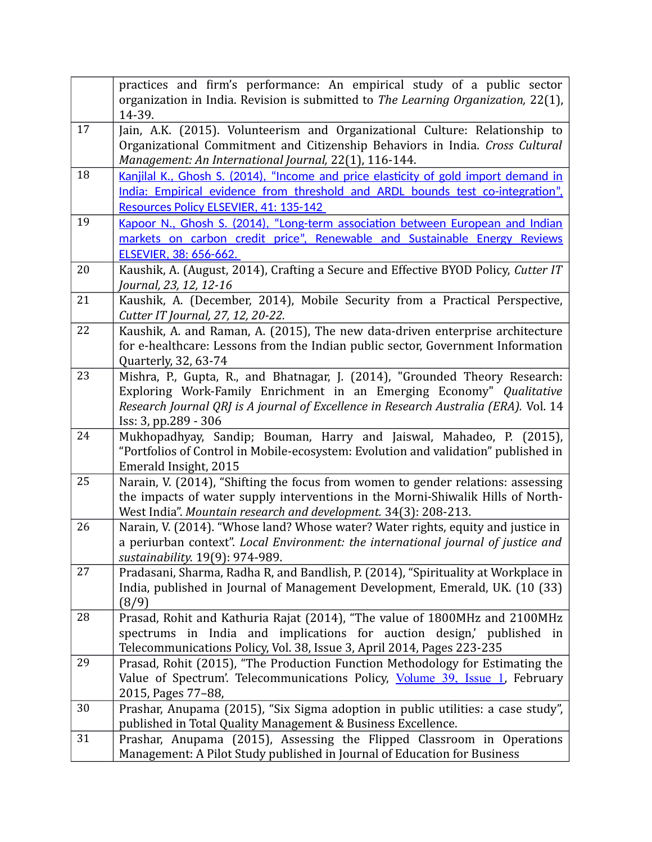|    | practices and firm's performance: An empirical study of a public sector<br>organization in India. Revision is submitted to The Learning Organization, 22(1),                                                         |
|----|----------------------------------------------------------------------------------------------------------------------------------------------------------------------------------------------------------------------|
|    | 14-39.                                                                                                                                                                                                               |
| 17 | Jain, A.K. (2015). Volunteerism and Organizational Culture: Relationship to<br>Organizational Commitment and Citizenship Behaviors in India. Cross Cultural<br>Management: An International Journal, 22(1), 116-144. |
| 18 | Kanjilal K., Ghosh S. (2014), "Income and price elasticity of gold import demand in                                                                                                                                  |
|    | India: Empirical evidence from threshold and ARDL bounds test co-integration".<br><b>Resources Policy ELSEVIER, 41: 135-142</b>                                                                                      |
| 19 | Kapoor N., Ghosh S. (2014), "Long-term association between European and Indian                                                                                                                                       |
|    | markets on carbon credit price", Renewable and Sustainable Energy Reviews<br>ELSEVIER, 38: 656-662.                                                                                                                  |
| 20 | Kaushik, A. (August, 2014), Crafting a Secure and Effective BYOD Policy, Cutter IT                                                                                                                                   |
|    | Journal, 23, 12, 12-16                                                                                                                                                                                               |
| 21 | Kaushik, A. (December, 2014), Mobile Security from a Practical Perspective,<br>Cutter IT Journal, 27, 12, 20-22.                                                                                                     |
| 22 | Kaushik, A. and Raman, A. (2015), The new data-driven enterprise architecture                                                                                                                                        |
|    | for e-healthcare: Lessons from the Indian public sector, Government Information<br>Quarterly, 32, 63-74                                                                                                              |
| 23 | Mishra, P., Gupta, R., and Bhatnagar, J. (2014), "Grounded Theory Research:                                                                                                                                          |
|    | Exploring Work-Family Enrichment in an Emerging Economy" Qualitative                                                                                                                                                 |
|    | Research Journal QRJ is A journal of Excellence in Research Australia (ERA). Vol. 14<br>Iss: 3, pp.289 - 306                                                                                                         |
| 24 | Mukhopadhyay, Sandip; Bouman, Harry and Jaiswal, Mahadeo, P. (2015),                                                                                                                                                 |
|    | "Portfolios of Control in Mobile-ecosystem: Evolution and validation" published in<br>Emerald Insight, 2015                                                                                                          |
| 25 | Narain, V. (2014), "Shifting the focus from women to gender relations: assessing                                                                                                                                     |
|    | the impacts of water supply interventions in the Morni-Shiwalik Hills of North-                                                                                                                                      |
|    | West India". Mountain research and development. 34(3): 208-213.                                                                                                                                                      |
| 26 | Narain, V. (2014). "Whose land? Whose water? Water rights, equity and justice in                                                                                                                                     |
|    | a periurban context". Local Environment: the international journal of justice and<br>sustainability. 19(9): 974-989.                                                                                                 |
| 27 | Pradasani, Sharma, Radha R, and Bandlish, P. (2014), "Spirituality at Workplace in                                                                                                                                   |
|    | India, published in Journal of Management Development, Emerald, UK. (10 (33)                                                                                                                                         |
| 28 | (8/9)<br>Prasad, Rohit and Kathuria Rajat (2014), "The value of 1800MHz and 2100MHz                                                                                                                                  |
|    | spectrums in India and implications for auction design,' published in                                                                                                                                                |
|    | Telecommunications Policy, Vol. 38, Issue 3, April 2014, Pages 223-235                                                                                                                                               |
| 29 | Prasad, Rohit (2015), "The Production Function Methodology for Estimating the                                                                                                                                        |
|    | Value of Spectrum'. Telecommunications Policy, Volume 39, Issue 1, February                                                                                                                                          |
| 30 | 2015, Pages 77-88,                                                                                                                                                                                                   |
|    | Prashar, Anupama (2015), "Six Sigma adoption in public utilities: a case study",<br>published in Total Quality Management & Business Excellence.                                                                     |
| 31 | Prashar, Anupama (2015), Assessing the Flipped Classroom in Operations                                                                                                                                               |
|    | Management: A Pilot Study published in Journal of Education for Business                                                                                                                                             |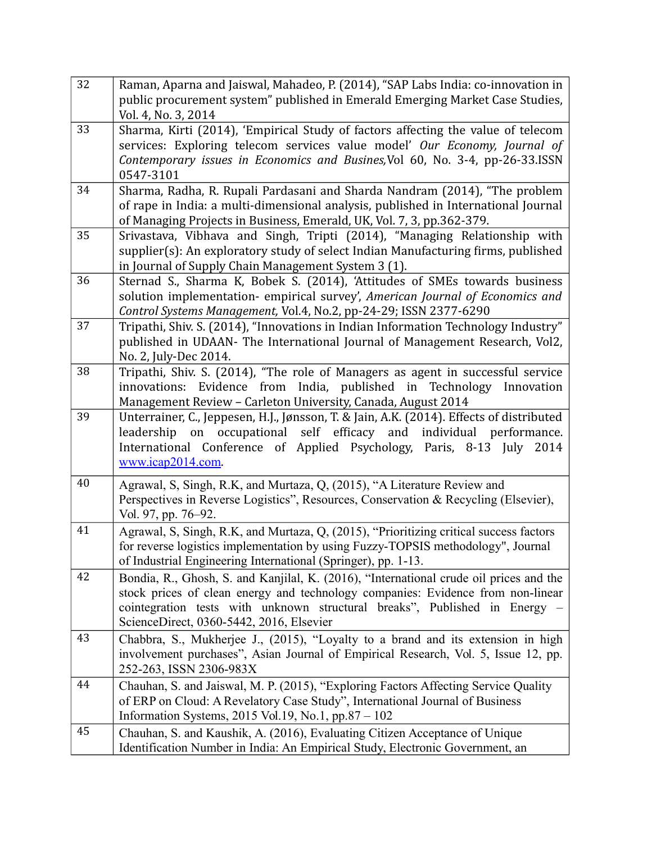| 32 | Raman, Aparna and Jaiswal, Mahadeo, P. (2014), "SAP Labs India: co-innovation in                                                                                       |
|----|------------------------------------------------------------------------------------------------------------------------------------------------------------------------|
|    | public procurement system" published in Emerald Emerging Market Case Studies,                                                                                          |
| 33 | Vol. 4, No. 3, 2014                                                                                                                                                    |
|    | Sharma, Kirti (2014), 'Empirical Study of factors affecting the value of telecom<br>services: Exploring telecom services value model' Our Economy, Journal of          |
|    | Contemporary issues in Economics and Busines, Vol 60, No. 3-4, pp-26-33.ISSN                                                                                           |
|    | 0547-3101                                                                                                                                                              |
| 34 | Sharma, Radha, R. Rupali Pardasani and Sharda Nandram (2014), "The problem                                                                                             |
|    | of rape in India: a multi-dimensional analysis, published in International Journal                                                                                     |
|    | of Managing Projects in Business, Emerald, UK, Vol. 7, 3, pp.362-379.                                                                                                  |
| 35 | Srivastava, Vibhava and Singh, Tripti (2014), "Managing Relationship with                                                                                              |
|    | supplier(s): An exploratory study of select Indian Manufacturing firms, published                                                                                      |
| 36 | in Journal of Supply Chain Management System 3 (1).                                                                                                                    |
|    | Sternad S., Sharma K, Bobek S. (2014), 'Attitudes of SMEs towards business<br>solution implementation- empirical survey', American Journal of Economics and            |
|    | Control Systems Management, Vol.4, No.2, pp-24-29; ISSN 2377-6290                                                                                                      |
| 37 | Tripathi, Shiv. S. (2014), "Innovations in Indian Information Technology Industry"                                                                                     |
|    | published in UDAAN- The International Journal of Management Research, Vol2,                                                                                            |
|    | No. 2, July-Dec 2014.                                                                                                                                                  |
| 38 | Tripathi, Shiv. S. (2014), "The role of Managers as agent in successful service                                                                                        |
|    | innovations: Evidence from India, published in Technology<br>Innovation                                                                                                |
|    | Management Review - Carleton University, Canada, August 2014                                                                                                           |
| 39 | Unterrainer, C., Jeppesen, H.J., Jønsson, T. & Jain, A.K. (2014). Effects of distributed<br>on occupational self efficacy and individual performance.<br>leadership    |
|    | International Conference of Applied Psychology, Paris, 8-13 July<br>2014                                                                                               |
|    | www.icap2014.com                                                                                                                                                       |
| 40 |                                                                                                                                                                        |
|    | Agrawal, S, Singh, R.K, and Murtaza, Q, (2015), "A Literature Review and<br>Perspectives in Reverse Logistics", Resources, Conservation & Recycling (Elsevier),        |
|    | Vol. 97, pp. 76-92.                                                                                                                                                    |
| 41 | Agrawal, S, Singh, R.K, and Murtaza, Q, (2015), "Prioritizing critical success factors                                                                                 |
|    | for reverse logistics implementation by using Fuzzy-TOPSIS methodology", Journal                                                                                       |
|    | of Industrial Engineering International (Springer), pp. 1-13.                                                                                                          |
| 42 | Bondia, R., Ghosh, S. and Kanjilal, K. (2016), "International crude oil prices and the                                                                                 |
|    | stock prices of clean energy and technology companies: Evidence from non-linear                                                                                        |
|    | cointegration tests with unknown structural breaks", Published in Energy -                                                                                             |
| 43 | ScienceDirect, 0360-5442, 2016, Elsevier                                                                                                                               |
|    | Chabbra, S., Mukherjee J., (2015), "Loyalty to a brand and its extension in high<br>involvement purchases", Asian Journal of Empirical Research, Vol. 5, Issue 12, pp. |
|    | 252-263, ISSN 2306-983X                                                                                                                                                |
| 44 | Chauhan, S. and Jaiswal, M. P. (2015), "Exploring Factors Affecting Service Quality                                                                                    |
|    | of ERP on Cloud: A Revelatory Case Study", International Journal of Business                                                                                           |
|    | Information Systems, 2015 Vol.19, No.1, pp.87 - $102$                                                                                                                  |
| 45 | Chauhan, S. and Kaushik, A. (2016), Evaluating Citizen Acceptance of Unique                                                                                            |
|    | Identification Number in India: An Empirical Study, Electronic Government, an                                                                                          |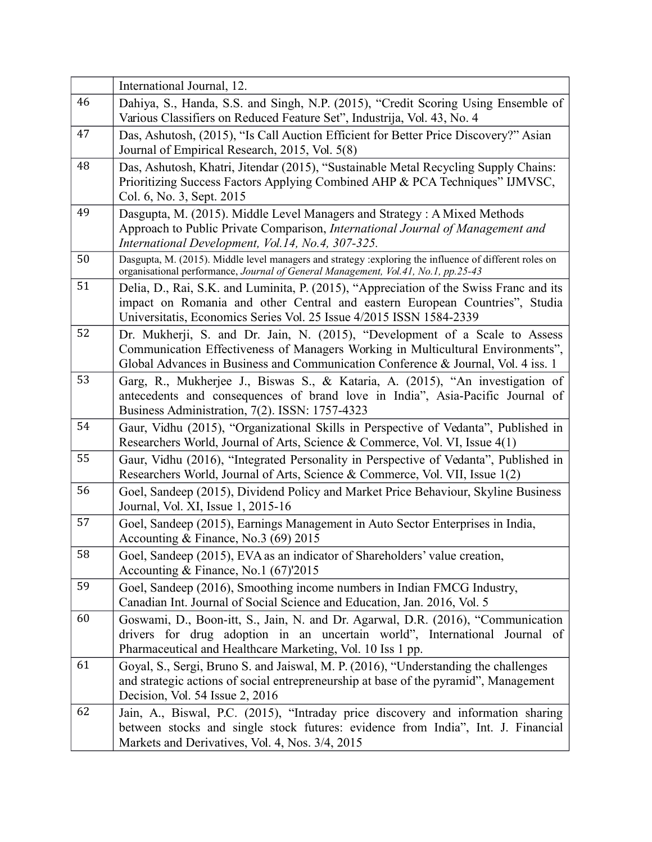|    | International Journal, 12.                                                                                                                                                                   |
|----|----------------------------------------------------------------------------------------------------------------------------------------------------------------------------------------------|
| 46 | Dahiya, S., Handa, S.S. and Singh, N.P. (2015), "Credit Scoring Using Ensemble of                                                                                                            |
|    | Various Classifiers on Reduced Feature Set", Industrija, Vol. 43, No. 4                                                                                                                      |
| 47 | Das, Ashutosh, (2015), "Is Call Auction Efficient for Better Price Discovery?" Asian                                                                                                         |
|    | Journal of Empirical Research, 2015, Vol. 5(8)                                                                                                                                               |
| 48 | Das, Ashutosh, Khatri, Jitendar (2015), "Sustainable Metal Recycling Supply Chains:                                                                                                          |
|    | Prioritizing Success Factors Applying Combined AHP & PCA Techniques" IJMVSC,<br>Col. 6, No. 3, Sept. 2015                                                                                    |
| 49 | Dasgupta, M. (2015). Middle Level Managers and Strategy: A Mixed Methods                                                                                                                     |
|    | Approach to Public Private Comparison, International Journal of Management and                                                                                                               |
|    | International Development, Vol.14, No.4, 307-325.                                                                                                                                            |
| 50 | Dasgupta, M. (2015). Middle level managers and strategy : exploring the influence of different roles on<br>organisational performance, Journal of General Management, Vol.41, No.1, pp.25-43 |
| 51 | Delia, D., Rai, S.K. and Luminita, P. (2015), "Appreciation of the Swiss Franc and its                                                                                                       |
|    | impact on Romania and other Central and eastern European Countries", Studia                                                                                                                  |
|    | Universitatis, Economics Series Vol. 25 Issue 4/2015 ISSN 1584-2339                                                                                                                          |
| 52 | Dr. Mukherji, S. and Dr. Jain, N. (2015), "Development of a Scale to Assess                                                                                                                  |
|    | Communication Effectiveness of Managers Working in Multicultural Environments",                                                                                                              |
| 53 | Global Advances in Business and Communication Conference & Journal, Vol. 4 iss. 1                                                                                                            |
|    | Garg, R., Mukherjee J., Biswas S., & Kataria, A. (2015), "An investigation of                                                                                                                |
|    | antecedents and consequences of brand love in India", Asia-Pacific Journal of<br>Business Administration, 7(2). ISSN: 1757-4323                                                              |
| 54 | Gaur, Vidhu (2015), "Organizational Skills in Perspective of Vedanta", Published in                                                                                                          |
|    | Researchers World, Journal of Arts, Science & Commerce, Vol. VI, Issue 4(1)                                                                                                                  |
| 55 | Gaur, Vidhu (2016), "Integrated Personality in Perspective of Vedanta", Published in                                                                                                         |
| 56 | Researchers World, Journal of Arts, Science & Commerce, Vol. VII, Issue 1(2)                                                                                                                 |
|    | Goel, Sandeep (2015), Dividend Policy and Market Price Behaviour, Skyline Business<br>Journal, Vol. XI, Issue 1, 2015-16                                                                     |
| 57 | Goel, Sandeep (2015), Earnings Management in Auto Sector Enterprises in India,                                                                                                               |
|    | Accounting & Finance, No.3 (69) 2015                                                                                                                                                         |
| 58 | Goel, Sandeep (2015), EVA as an indicator of Shareholders' value creation,                                                                                                                   |
|    | Accounting & Finance, No.1 $(67)'2015$                                                                                                                                                       |
| 59 | Goel, Sandeep (2016), Smoothing income numbers in Indian FMCG Industry,                                                                                                                      |
|    | Canadian Int. Journal of Social Science and Education, Jan. 2016, Vol. 5                                                                                                                     |
| 60 | Goswami, D., Boon-itt, S., Jain, N. and Dr. Agarwal, D.R. (2016), "Communication                                                                                                             |
|    | drivers for drug adoption in an uncertain world", International Journal of                                                                                                                   |
| 61 | Pharmaceutical and Healthcare Marketing, Vol. 10 Iss 1 pp.                                                                                                                                   |
|    | Goyal, S., Sergi, Bruno S. and Jaiswal, M. P. (2016), "Understanding the challenges<br>and strategic actions of social entrepreneurship at base of the pyramid", Management                  |
|    | Decision, Vol. 54 Issue 2, 2016                                                                                                                                                              |
| 62 | Jain, A., Biswal, P.C. (2015), "Intraday price discovery and information sharing                                                                                                             |
|    | between stocks and single stock futures: evidence from India", Int. J. Financial                                                                                                             |
|    | Markets and Derivatives, Vol. 4, Nos. 3/4, 2015                                                                                                                                              |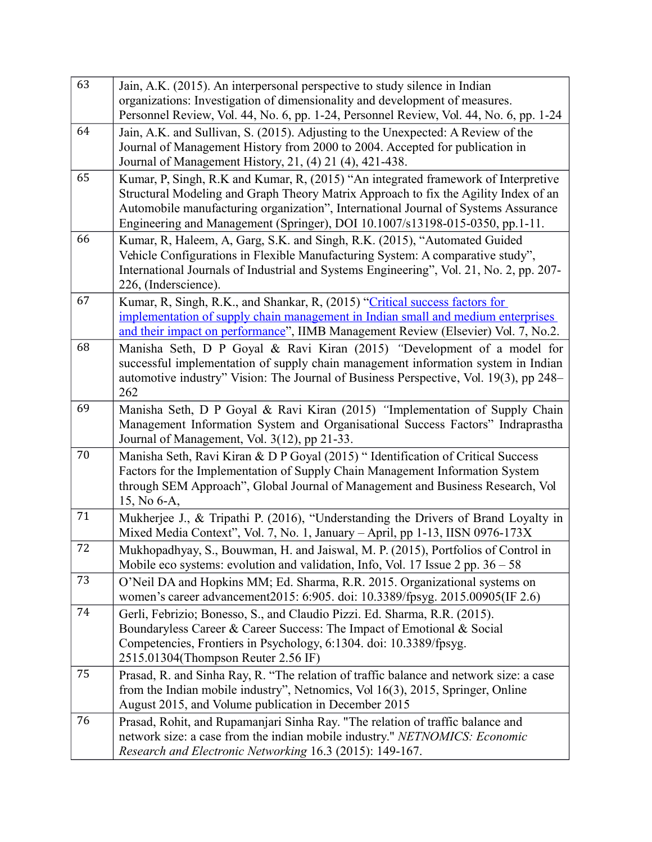| 63 | Jain, A.K. (2015). An interpersonal perspective to study silence in Indian                                                                                                |
|----|---------------------------------------------------------------------------------------------------------------------------------------------------------------------------|
|    | organizations: Investigation of dimensionality and development of measures.                                                                                               |
|    | Personnel Review, Vol. 44, No. 6, pp. 1-24, Personnel Review, Vol. 44, No. 6, pp. 1-24                                                                                    |
| 64 | Jain, A.K. and Sullivan, S. (2015). Adjusting to the Unexpected: A Review of the                                                                                          |
|    | Journal of Management History from 2000 to 2004. Accepted for publication in                                                                                              |
| 65 | Journal of Management History, 21, (4) 21 (4), 421-438.                                                                                                                   |
|    | Kumar, P, Singh, R.K and Kumar, R, (2015) "An integrated framework of Interpretive<br>Structural Modeling and Graph Theory Matrix Approach to fix the Agility Index of an |
|    | Automobile manufacturing organization", International Journal of Systems Assurance                                                                                        |
|    | Engineering and Management (Springer), DOI 10.1007/s13198-015-0350, pp.1-11.                                                                                              |
| 66 | Kumar, R, Haleem, A, Garg, S.K. and Singh, R.K. (2015), "Automated Guided                                                                                                 |
|    | Vehicle Configurations in Flexible Manufacturing System: A comparative study",                                                                                            |
|    | International Journals of Industrial and Systems Engineering", Vol. 21, No. 2, pp. 207-                                                                                   |
|    | 226, (Inderscience).                                                                                                                                                      |
| 67 | Kumar, R, Singh, R.K., and Shankar, R, (2015) "Critical success factors for                                                                                               |
|    | implementation of supply chain management in Indian small and medium enterprises<br>and their impact on performance", IIMB Management Review (Elsevier) Vol. 7, No.2.     |
| 68 | Manisha Seth, D P Goyal & Ravi Kiran (2015) "Development of a model for                                                                                                   |
|    | successful implementation of supply chain management information system in Indian                                                                                         |
|    | automotive industry" Vision: The Journal of Business Perspective, Vol. 19(3), pp 248–                                                                                     |
|    | 262                                                                                                                                                                       |
| 69 | Manisha Seth, D P Goyal & Ravi Kiran (2015) "Implementation of Supply Chain                                                                                               |
|    | Management Information System and Organisational Success Factors" Indraprastha                                                                                            |
|    | Journal of Management, Vol. 3(12), pp 21-33.                                                                                                                              |
| 70 | Manisha Seth, Ravi Kiran & D P Goyal (2015) " Identification of Critical Success                                                                                          |
|    | Factors for the Implementation of Supply Chain Management Information System<br>through SEM Approach", Global Journal of Management and Business Research, Vol            |
|    | 15, No 6-A,                                                                                                                                                               |
| 71 | Mukherjee J., & Tripathi P. (2016), "Understanding the Drivers of Brand Loyalty in                                                                                        |
|    | Mixed Media Context", Vol. 7, No. 1, January - April, pp 1-13, IISN 0976-173X                                                                                             |
| 72 | Mukhopadhyay, S., Bouwman, H. and Jaiswal, M. P. (2015), Portfolios of Control in                                                                                         |
|    | Mobile eco systems: evolution and validation, Info, Vol. 17 Issue $2$ pp. $36 - 58$                                                                                       |
| 73 | O'Neil DA and Hopkins MM; Ed. Sharma, R.R. 2015. Organizational systems on                                                                                                |
| 74 | women's career advancement2015: 6:905. doi: 10.3389/fpsyg. 2015.00905(IF 2.6)                                                                                             |
|    | Gerli, Febrizio; Bonesso, S., and Claudio Pizzi. Ed. Sharma, R.R. (2015).<br>Boundaryless Career & Career Success: The Impact of Emotional & Social                       |
|    | Competencies, Frontiers in Psychology, 6:1304. doi: 10.3389/fpsyg.                                                                                                        |
|    | 2515.01304(Thompson Reuter 2.56 IF)                                                                                                                                       |
| 75 | Prasad, R. and Sinha Ray, R. "The relation of traffic balance and network size: a case                                                                                    |
|    | from the Indian mobile industry", Netnomics, Vol 16(3), 2015, Springer, Online                                                                                            |
|    | August 2015, and Volume publication in December 2015                                                                                                                      |
| 76 | Prasad, Rohit, and Rupamanjari Sinha Ray. "The relation of traffic balance and                                                                                            |
|    | network size: a case from the indian mobile industry." NETNOMICS: Economic                                                                                                |
|    | Research and Electronic Networking 16.3 (2015): 149-167.                                                                                                                  |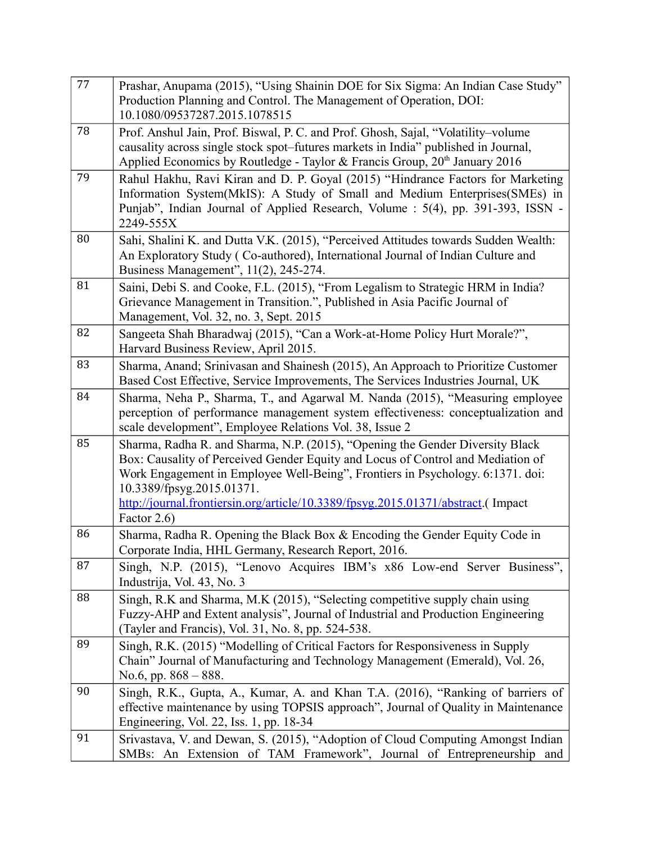| 77 | Prashar, Anupama (2015), "Using Shainin DOE for Six Sigma: An Indian Case Study"<br>Production Planning and Control. The Management of Operation, DOI:<br>10.1080/09537287.2015.1078515                                                                                                                                                                                            |
|----|------------------------------------------------------------------------------------------------------------------------------------------------------------------------------------------------------------------------------------------------------------------------------------------------------------------------------------------------------------------------------------|
| 78 | Prof. Anshul Jain, Prof. Biswal, P. C. and Prof. Ghosh, Sajal, "Volatility-volume<br>causality across single stock spot–futures markets in India" published in Journal,<br>Applied Economics by Routledge - Taylor & Francis Group, $20th$ January 2016                                                                                                                            |
| 79 | Rahul Hakhu, Ravi Kiran and D. P. Goyal (2015) "Hindrance Factors for Marketing<br>Information System(MkIS): A Study of Small and Medium Enterprises(SMEs) in<br>Punjab", Indian Journal of Applied Research, Volume : 5(4), pp. 391-393, ISSN -<br>2249-555X                                                                                                                      |
| 80 | Sahi, Shalini K. and Dutta V.K. (2015), "Perceived Attitudes towards Sudden Wealth:<br>An Exploratory Study (Co-authored), International Journal of Indian Culture and<br>Business Management", 11(2), 245-274.                                                                                                                                                                    |
| 81 | Saini, Debi S. and Cooke, F.L. (2015), "From Legalism to Strategic HRM in India?<br>Grievance Management in Transition.", Published in Asia Pacific Journal of<br>Management, Vol. 32, no. 3, Sept. 2015                                                                                                                                                                           |
| 82 | Sangeeta Shah Bharadwaj (2015), "Can a Work-at-Home Policy Hurt Morale?",<br>Harvard Business Review, April 2015.                                                                                                                                                                                                                                                                  |
| 83 | Sharma, Anand; Srinivasan and Shainesh (2015), An Approach to Prioritize Customer<br>Based Cost Effective, Service Improvements, The Services Industries Journal, UK                                                                                                                                                                                                               |
| 84 | Sharma, Neha P., Sharma, T., and Agarwal M. Nanda (2015), "Measuring employee<br>perception of performance management system effectiveness: conceptualization and<br>scale development", Employee Relations Vol. 38, Issue 2                                                                                                                                                       |
| 85 | Sharma, Radha R. and Sharma, N.P. (2015), "Opening the Gender Diversity Black<br>Box: Causality of Perceived Gender Equity and Locus of Control and Mediation of<br>Work Engagement in Employee Well-Being", Frontiers in Psychology. 6:1371. doi:<br>10.3389/fpsyg.2015.01371.<br>http://journal.frontiersin.org/article/10.3389/fpsyg.2015.01371/abstract.(Impact<br>Factor 2.6) |
| 86 | Sharma, Radha R. Opening the Black Box & Encoding the Gender Equity Code in<br>Corporate India, HHL Germany, Research Report, 2016.                                                                                                                                                                                                                                                |
| 87 | Singh, N.P. (2015), "Lenovo Acquires IBM's x86 Low-end Server Business",<br>Industrija, Vol. 43, No. 3                                                                                                                                                                                                                                                                             |
| 88 | Singh, R.K and Sharma, M.K (2015), "Selecting competitive supply chain using<br>Fuzzy-AHP and Extent analysis", Journal of Industrial and Production Engineering<br>(Tayler and Francis), Vol. 31, No. 8, pp. 524-538.                                                                                                                                                             |
| 89 | Singh, R.K. (2015) "Modelling of Critical Factors for Responsiveness in Supply<br>Chain" Journal of Manufacturing and Technology Management (Emerald), Vol. 26,<br>No.6, pp. $868 - 888$ .                                                                                                                                                                                         |
| 90 | Singh, R.K., Gupta, A., Kumar, A. and Khan T.A. (2016), "Ranking of barriers of<br>effective maintenance by using TOPSIS approach", Journal of Quality in Maintenance<br>Engineering, Vol. 22, Iss. 1, pp. 18-34                                                                                                                                                                   |
| 91 | Srivastava, V. and Dewan, S. (2015), "Adoption of Cloud Computing Amongst Indian<br>SMBs: An Extension of TAM Framework", Journal of Entrepreneurship and                                                                                                                                                                                                                          |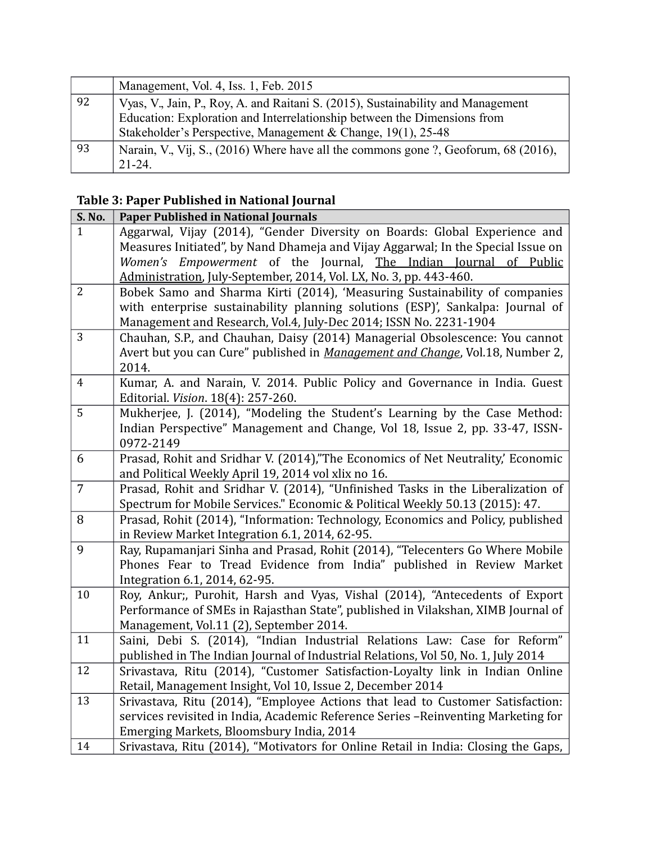|    | Management, Vol. 4, Iss. 1, Feb. 2015                                               |
|----|-------------------------------------------------------------------------------------|
| 92 | Vyas, V., Jain, P., Roy, A. and Raitani S. (2015), Sustainability and Management    |
|    | Education: Exploration and Interrelationship between the Dimensions from            |
|    | Stakeholder's Perspective, Management & Change, 19(1), 25-48                        |
| 93 | Narain, V., Vij, S., (2016) Where have all the commons gone ?, Geoforum, 68 (2016), |
|    | $21 - 24$                                                                           |

# **Table 3: Paper Published in National Journal**

| S. No.         | <b>Paper Published in National Journals</b>                                                                                 |
|----------------|-----------------------------------------------------------------------------------------------------------------------------|
| $\mathbf{1}$   | Aggarwal, Vijay (2014), "Gender Diversity on Boards: Global Experience and                                                  |
|                | Measures Initiated", by Nand Dhameja and Vijay Aggarwal; In the Special Issue on                                            |
|                | Women's Empowerment of the Journal, The Indian Journal of Public                                                            |
|                | Administration, July-September, 2014, Vol. LX, No. 3, pp. 443-460.                                                          |
| $\overline{2}$ | Bobek Samo and Sharma Kirti (2014), 'Measuring Sustainability of companies                                                  |
|                | with enterprise sustainability planning solutions (ESP)', Sankalpa: Journal of                                              |
|                | Management and Research, Vol.4, July-Dec 2014; ISSN No. 2231-1904                                                           |
| 3              | Chauhan, S.P., and Chauhan, Daisy (2014) Managerial Obsolescence: You cannot                                                |
|                | Avert but you can Cure" published in Management and Change, Vol.18, Number 2,                                               |
|                | 2014.                                                                                                                       |
| $\overline{4}$ | Kumar, A. and Narain, V. 2014. Public Policy and Governance in India. Guest                                                 |
|                | Editorial. Vision. 18(4): 257-260.                                                                                          |
| 5              | Mukherjee, J. (2014), "Modeling the Student's Learning by the Case Method:                                                  |
|                | Indian Perspective" Management and Change, Vol 18, Issue 2, pp. 33-47, ISSN-                                                |
|                | 0972-2149                                                                                                                   |
| 6              | Prasad, Rohit and Sridhar V. (2014),"The Economics of Net Neutrality,' Economic                                             |
|                | and Political Weekly April 19, 2014 vol xlix no 16.                                                                         |
| $\overline{7}$ | Prasad, Rohit and Sridhar V. (2014), "Unfinished Tasks in the Liberalization of                                             |
|                | Spectrum for Mobile Services." Economic & Political Weekly 50.13 (2015): 47.                                                |
| 8              | Prasad, Rohit (2014), "Information: Technology, Economics and Policy, published                                             |
|                | in Review Market Integration 6.1, 2014, 62-95.                                                                              |
| 9              | Ray, Rupamanjari Sinha and Prasad, Rohit (2014), "Telecenters Go Where Mobile                                               |
|                | Phones Fear to Tread Evidence from India" published in Review Market                                                        |
| 10             | Integration 6.1, 2014, 62-95.                                                                                               |
|                | Roy, Ankur;, Purohit, Harsh and Vyas, Vishal (2014), "Antecedents of Export                                                 |
|                | Performance of SMEs in Rajasthan State", published in Vilakshan, XIMB Journal of<br>Management, Vol.11 (2), September 2014. |
| 11             | Saini, Debi S. (2014), "Indian Industrial Relations Law: Case for Reform"                                                   |
|                | published in The Indian Journal of Industrial Relations, Vol 50, No. 1, July 2014                                           |
| 12             | Srivastava, Ritu (2014), "Customer Satisfaction-Loyalty link in Indian Online                                               |
|                | Retail, Management Insight, Vol 10, Issue 2, December 2014                                                                  |
| 13             | Srivastava, Ritu (2014), "Employee Actions that lead to Customer Satisfaction:                                              |
|                | services revisited in India, Academic Reference Series -Reinventing Marketing for                                           |
|                | Emerging Markets, Bloomsbury India, 2014                                                                                    |
| 14             | Srivastava, Ritu (2014), "Motivators for Online Retail in India: Closing the Gaps,                                          |
|                |                                                                                                                             |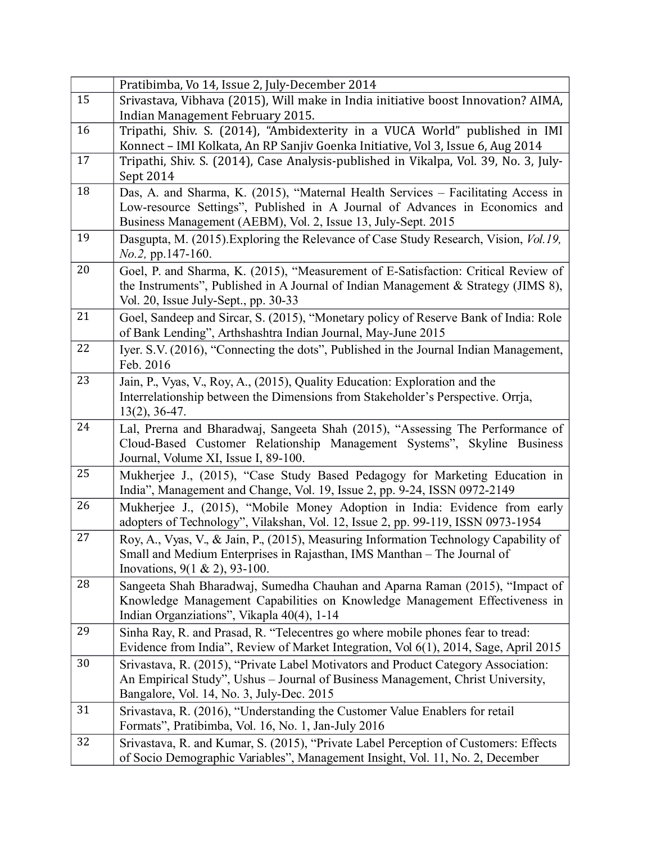|    | Pratibimba, Vo 14, Issue 2, July-December 2014                                        |
|----|---------------------------------------------------------------------------------------|
| 15 | Srivastava, Vibhava (2015), Will make in India initiative boost Innovation? AIMA,     |
|    | Indian Management February 2015.                                                      |
| 16 | Tripathi, Shiv. S. (2014), "Ambidexterity in a VUCA World" published in IMI           |
|    | Konnect - IMI Kolkata, An RP Sanjiv Goenka Initiative, Vol 3, Issue 6, Aug 2014       |
| 17 | Tripathi, Shiv. S. (2014), Case Analysis-published in Vikalpa, Vol. 39, No. 3, July-  |
|    | Sept 2014                                                                             |
| 18 | Das, A. and Sharma, K. (2015), "Maternal Health Services - Facilitating Access in     |
|    | Low-resource Settings", Published in A Journal of Advances in Economics and           |
|    | Business Management (AEBM), Vol. 2, Issue 13, July-Sept. 2015                         |
| 19 | Dasgupta, M. (2015). Exploring the Relevance of Case Study Research, Vision, Vol.19,  |
|    | No.2, pp.147-160.                                                                     |
| 20 | Goel, P. and Sharma, K. (2015), "Measurement of E-Satisfaction: Critical Review of    |
|    | the Instruments", Published in A Journal of Indian Management & Strategy (JIMS 8),    |
|    | Vol. 20, Issue July-Sept., pp. 30-33                                                  |
| 21 | Goel, Sandeep and Sircar, S. (2015), "Monetary policy of Reserve Bank of India: Role  |
|    | of Bank Lending", Arthshashtra Indian Journal, May-June 2015                          |
| 22 | Iyer. S.V. (2016), "Connecting the dots", Published in the Journal Indian Management, |
|    | Feb. 2016                                                                             |
| 23 | Jain, P., Vyas, V., Roy, A., (2015), Quality Education: Exploration and the           |
|    | Interrelationship between the Dimensions from Stakeholder's Perspective. Orrja,       |
|    | $13(2)$ , 36-47.                                                                      |
| 24 | Lal, Prerna and Bharadwaj, Sangeeta Shah (2015), "Assessing The Performance of        |
|    | Cloud-Based Customer Relationship Management Systems", Skyline Business               |
|    | Journal, Volume XI, Issue I, 89-100.                                                  |
| 25 | Mukherjee J., (2015), "Case Study Based Pedagogy for Marketing Education in           |
|    | India", Management and Change, Vol. 19, Issue 2, pp. 9-24, ISSN 0972-2149             |
| 26 | Mukherjee J., (2015), "Mobile Money Adoption in India: Evidence from early            |
|    | adopters of Technology", Vilakshan, Vol. 12, Issue 2, pp. 99-119, ISSN 0973-1954      |
| 27 |                                                                                       |
|    | Roy, A., Vyas, V., & Jain, P., (2015), Measuring Information Technology Capability of |
|    | Small and Medium Enterprises in Rajasthan, IMS Manthan - The Journal of               |
|    | Inovations, $9(1 \& 2)$ , $93-100$ .                                                  |
| 28 | Sangeeta Shah Bharadwaj, Sumedha Chauhan and Aparna Raman (2015), "Impact of          |
|    | Knowledge Management Capabilities on Knowledge Management Effectiveness in            |
|    | Indian Organziations", Vikapla 40(4), 1-14                                            |
| 29 | Sinha Ray, R. and Prasad, R. "Telecentres go where mobile phones fear to tread:       |
|    | Evidence from India", Review of Market Integration, Vol 6(1), 2014, Sage, April 2015  |
| 30 | Srivastava, R. (2015), "Private Label Motivators and Product Category Association:    |
|    | An Empirical Study", Ushus - Journal of Business Management, Christ University,       |
|    | Bangalore, Vol. 14, No. 3, July-Dec. 2015                                             |
| 31 | Srivastava, R. (2016), "Understanding the Customer Value Enablers for retail          |
|    | Formats", Pratibimba, Vol. 16, No. 1, Jan-July 2016                                   |
| 32 | Srivastava, R. and Kumar, S. (2015), "Private Label Perception of Customers: Effects  |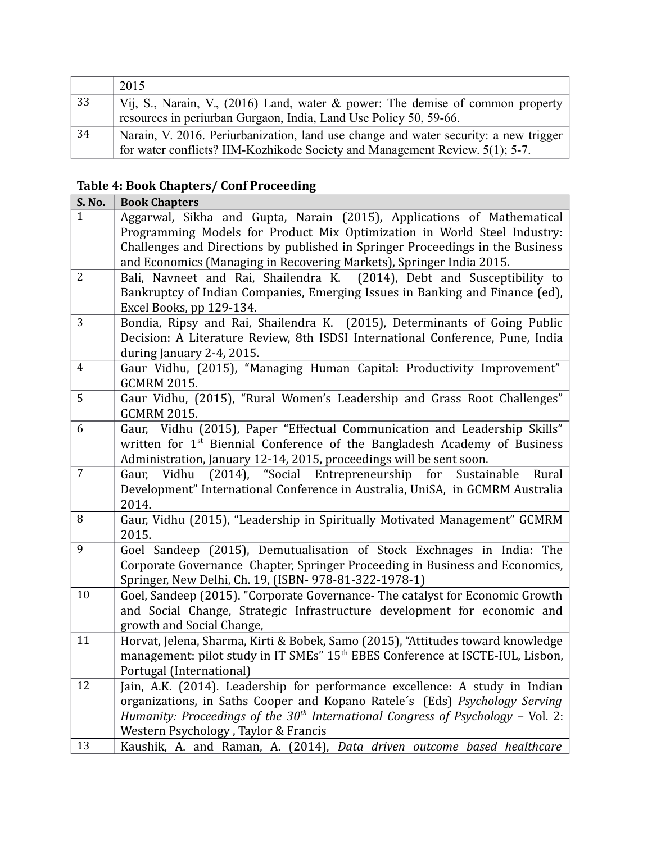|    | 2015                                                                                 |
|----|--------------------------------------------------------------------------------------|
| 33 | Vij, S., Narain, V., (2016) Land, water & power: The demise of common property       |
|    | resources in periurban Gurgaon, India, Land Use Policy 50, 59-66.                    |
| 34 | Narain, V. 2016. Periurbanization, land use change and water security: a new trigger |
|    | for water conflicts? IIM-Kozhikode Society and Management Review. 5(1); 5-7.         |

# **Table 4: Book Chapters/ Conf Proceeding**

|                | S. No. | <b>Book Chapters</b>                                                                                                                                                                                                                                                                                         |
|----------------|--------|--------------------------------------------------------------------------------------------------------------------------------------------------------------------------------------------------------------------------------------------------------------------------------------------------------------|
| $\mathbf{1}$   |        | Aggarwal, Sikha and Gupta, Narain (2015), Applications of Mathematical<br>Programming Models for Product Mix Optimization in World Steel Industry:<br>Challenges and Directions by published in Springer Proceedings in the Business<br>and Economics (Managing in Recovering Markets), Springer India 2015. |
| $\overline{2}$ |        | Bali, Navneet and Rai, Shailendra K. (2014), Debt and Susceptibility to<br>Bankruptcy of Indian Companies, Emerging Issues in Banking and Finance (ed),<br>Excel Books, pp 129-134.                                                                                                                          |
| 3              |        | Bondia, Ripsy and Rai, Shailendra K. (2015), Determinants of Going Public<br>Decision: A Literature Review, 8th ISDSI International Conference, Pune, India<br>during January 2-4, 2015.                                                                                                                     |
| $\overline{4}$ |        | Gaur Vidhu, (2015), "Managing Human Capital: Productivity Improvement"<br><b>GCMRM 2015.</b>                                                                                                                                                                                                                 |
| 5              |        | Gaur Vidhu, (2015), "Rural Women's Leadership and Grass Root Challenges"<br><b>GCMRM 2015.</b>                                                                                                                                                                                                               |
| 6              |        | Gaur, Vidhu (2015), Paper "Effectual Communication and Leadership Skills"<br>written for 1 <sup>st</sup> Biennial Conference of the Bangladesh Academy of Business<br>Administration, January 12-14, 2015, proceedings will be sent soon.                                                                    |
| $\overline{7}$ |        | $(2014)$ , "Social<br>Entrepreneurship<br>Vidhu<br>for<br>Sustainable<br>Rural<br>Gaur,<br>Development" International Conference in Australia, UniSA, in GCMRM Australia<br>2014.                                                                                                                            |
| 8              |        | Gaur, Vidhu (2015), "Leadership in Spiritually Motivated Management" GCMRM<br>2015.                                                                                                                                                                                                                          |
| 9              |        | Goel Sandeep (2015), Demutualisation of Stock Exchnages in India: The<br>Corporate Governance Chapter, Springer Proceeding in Business and Economics,<br>Springer, New Delhi, Ch. 19, (ISBN- 978-81-322-1978-1)                                                                                              |
|                | 10     | Goel, Sandeep (2015). "Corporate Governance- The catalyst for Economic Growth<br>and Social Change, Strategic Infrastructure development for economic and<br>growth and Social Change,                                                                                                                       |
|                | 11     | Horvat, Jelena, Sharma, Kirti & Bobek, Samo (2015), "Attitudes toward knowledge<br>management: pilot study in IT SMEs" 15 <sup>th</sup> EBES Conference at ISCTE-IUL, Lisbon,<br>Portugal (International)                                                                                                    |
|                | 12     | Jain, A.K. (2014). Leadership for performance excellence: A study in Indian<br>organizations, in Saths Cooper and Kopano Ratele's (Eds) Psychology Serving<br>Humanity: Proceedings of the $30th$ International Congress of Psychology – Vol. 2:<br>Western Psychology, Taylor & Francis                     |
|                | 13     | Kaushik, A. and Raman, A. (2014), Data driven outcome based healthcare                                                                                                                                                                                                                                       |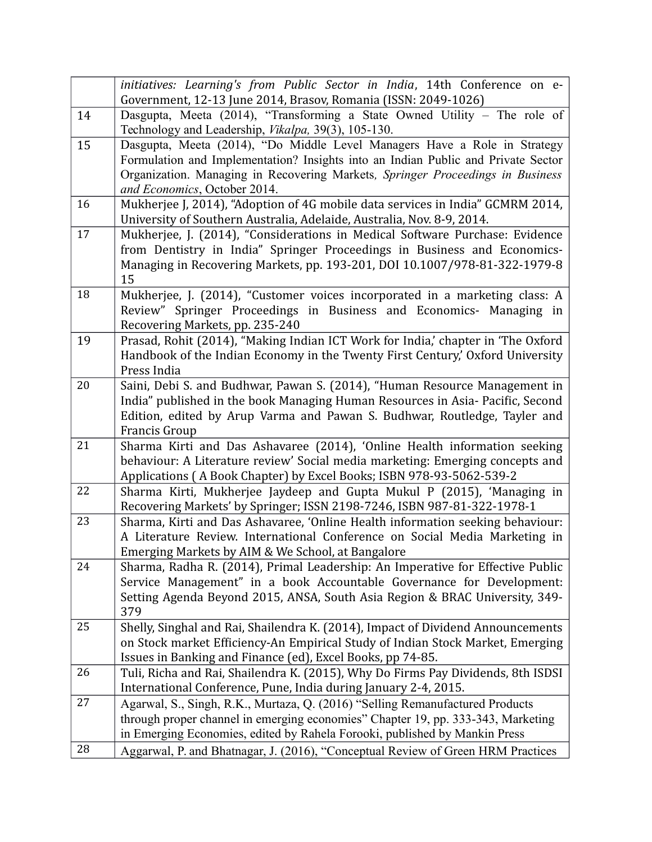|    | initiatives: Learning's from Public Sector in India, 14th Conference on e-<br>Government, 12-13 June 2014, Brasov, Romania (ISSN: 2049-1026)                                                                                                                                     |
|----|----------------------------------------------------------------------------------------------------------------------------------------------------------------------------------------------------------------------------------------------------------------------------------|
| 14 | Dasgupta, Meeta (2014), "Transforming a State Owned Utility - The role of<br>Technology and Leadership, Vikalpa, 39(3), 105-130.                                                                                                                                                 |
| 15 | Dasgupta, Meeta (2014), "Do Middle Level Managers Have a Role in Strategy<br>Formulation and Implementation? Insights into an Indian Public and Private Sector<br>Organization. Managing in Recovering Markets, Springer Proceedings in Business<br>and Economics, October 2014. |
| 16 | Mukherjee J, 2014), "Adoption of 4G mobile data services in India" GCMRM 2014,<br>University of Southern Australia, Adelaide, Australia, Nov. 8-9, 2014.                                                                                                                         |
| 17 | Mukherjee, J. (2014), "Considerations in Medical Software Purchase: Evidence<br>from Dentistry in India" Springer Proceedings in Business and Economics-<br>Managing in Recovering Markets, pp. 193-201, DOI 10.1007/978-81-322-1979-8<br>15                                     |
| 18 | Mukherjee, J. (2014), "Customer voices incorporated in a marketing class: A<br>Review" Springer Proceedings in Business and Economics- Managing in<br>Recovering Markets, pp. 235-240                                                                                            |
| 19 | Prasad, Rohit (2014), "Making Indian ICT Work for India,' chapter in 'The Oxford<br>Handbook of the Indian Economy in the Twenty First Century,' Oxford University<br>Press India                                                                                                |
| 20 | Saini, Debi S. and Budhwar, Pawan S. (2014), "Human Resource Management in<br>India" published in the book Managing Human Resources in Asia- Pacific, Second<br>Edition, edited by Arup Varma and Pawan S. Budhwar, Routledge, Tayler and<br>Francis Group                       |
| 21 | Sharma Kirti and Das Ashavaree (2014), 'Online Health information seeking<br>behaviour: A Literature review' Social media marketing: Emerging concepts and<br>Applications (A Book Chapter) by Excel Books; ISBN 978-93-5062-539-2                                               |
| 22 | Sharma Kirti, Mukherjee Jaydeep and Gupta Mukul P (2015), 'Managing in<br>Recovering Markets' by Springer; ISSN 2198-7246, ISBN 987-81-322-1978-1                                                                                                                                |
| 23 | Sharma, Kirti and Das Ashavaree, 'Online Health information seeking behaviour:<br>A Literature Review. International Conference on Social Media Marketing in<br>Emerging Markets by AIM & We School, at Bangalore                                                                |
| 24 | Sharma, Radha R. (2014), Primal Leadership: An Imperative for Effective Public<br>Service Management" in a book Accountable Governance for Development:<br>Setting Agenda Beyond 2015, ANSA, South Asia Region & BRAC University, 349-<br>379                                    |
| 25 | Shelly, Singhal and Rai, Shailendra K. (2014), Impact of Dividend Announcements<br>on Stock market Efficiency-An Empirical Study of Indian Stock Market, Emerging<br>Issues in Banking and Finance (ed), Excel Books, pp 74-85.                                                  |
| 26 | Tuli, Richa and Rai, Shailendra K. (2015), Why Do Firms Pay Dividends, 8th ISDSI<br>International Conference, Pune, India during January 2-4, 2015.                                                                                                                              |
| 27 | Agarwal, S., Singh, R.K., Murtaza, Q. (2016) "Selling Remanufactured Products<br>through proper channel in emerging economies" Chapter 19, pp. 333-343, Marketing<br>in Emerging Economies, edited by Rahela Forooki, published by Mankin Press                                  |
| 28 | Aggarwal, P. and Bhatnagar, J. (2016), "Conceptual Review of Green HRM Practices                                                                                                                                                                                                 |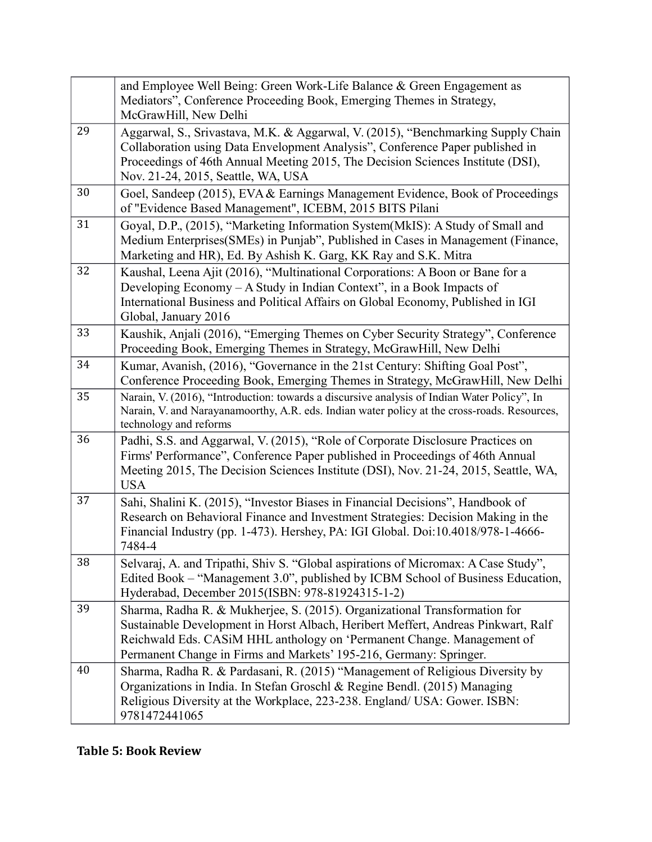|    | and Employee Well Being: Green Work-Life Balance & Green Engagement as<br>Mediators", Conference Proceeding Book, Emerging Themes in Strategy,<br>McGrawHill, New Delhi                                                                                                                                         |
|----|-----------------------------------------------------------------------------------------------------------------------------------------------------------------------------------------------------------------------------------------------------------------------------------------------------------------|
| 29 | Aggarwal, S., Srivastava, M.K. & Aggarwal, V. (2015), "Benchmarking Supply Chain<br>Collaboration using Data Envelopment Analysis", Conference Paper published in<br>Proceedings of 46th Annual Meeting 2015, The Decision Sciences Institute (DSI),<br>Nov. 21-24, 2015, Seattle, WA, USA                      |
| 30 | Goel, Sandeep (2015), EVA & Earnings Management Evidence, Book of Proceedings<br>of "Evidence Based Management", ICEBM, 2015 BITS Pilani                                                                                                                                                                        |
| 31 | Goyal, D.P., (2015), "Marketing Information System(MkIS): A Study of Small and<br>Medium Enterprises(SMEs) in Punjab", Published in Cases in Management (Finance,<br>Marketing and HR), Ed. By Ashish K. Garg, KK Ray and S.K. Mitra                                                                            |
| 32 | Kaushal, Leena Ajit (2016), "Multinational Corporations: A Boon or Bane for a<br>Developing Economy – A Study in Indian Context", in a Book Impacts of<br>International Business and Political Affairs on Global Economy, Published in IGI<br>Global, January 2016                                              |
| 33 | Kaushik, Anjali (2016), "Emerging Themes on Cyber Security Strategy", Conference<br>Proceeding Book, Emerging Themes in Strategy, McGrawHill, New Delhi                                                                                                                                                         |
| 34 | Kumar, Avanish, (2016), "Governance in the 21st Century: Shifting Goal Post",<br>Conference Proceeding Book, Emerging Themes in Strategy, McGrawHill, New Delhi                                                                                                                                                 |
| 35 | Narain, V. (2016), "Introduction: towards a discursive analysis of Indian Water Policy", In<br>Narain, V. and Narayanamoorthy, A.R. eds. Indian water policy at the cross-roads. Resources,<br>technology and reforms                                                                                           |
| 36 | Padhi, S.S. and Aggarwal, V. (2015), "Role of Corporate Disclosure Practices on<br>Firms' Performance", Conference Paper published in Proceedings of 46th Annual<br>Meeting 2015, The Decision Sciences Institute (DSI), Nov. 21-24, 2015, Seattle, WA,<br><b>USA</b>                                           |
| 37 | Sahi, Shalini K. (2015), "Investor Biases in Financial Decisions", Handbook of<br>Research on Behavioral Finance and Investment Strategies: Decision Making in the<br>Financial Industry (pp. 1-473). Hershey, PA: IGI Global. Doi:10.4018/978-1-4666-<br>7484-4                                                |
| 38 | Selvaraj, A. and Tripathi, Shiv S. "Global aspirations of Micromax: A Case Study",<br>Edited Book - "Management 3.0", published by ICBM School of Business Education,<br>Hyderabad, December 2015(ISBN: 978-81924315-1-2)                                                                                       |
| 39 | Sharma, Radha R. & Mukherjee, S. (2015). Organizational Transformation for<br>Sustainable Development in Horst Albach, Heribert Meffert, Andreas Pinkwart, Ralf<br>Reichwald Eds. CASiM HHL anthology on 'Permanent Change. Management of<br>Permanent Change in Firms and Markets' 195-216, Germany: Springer. |
| 40 | Sharma, Radha R. & Pardasani, R. (2015) "Management of Religious Diversity by<br>Organizations in India. In Stefan Groschl & Regine Bendl. (2015) Managing<br>Religious Diversity at the Workplace, 223-238. England/ USA: Gower. ISBN:<br>9781472441065                                                        |

**Table 5: Book Review**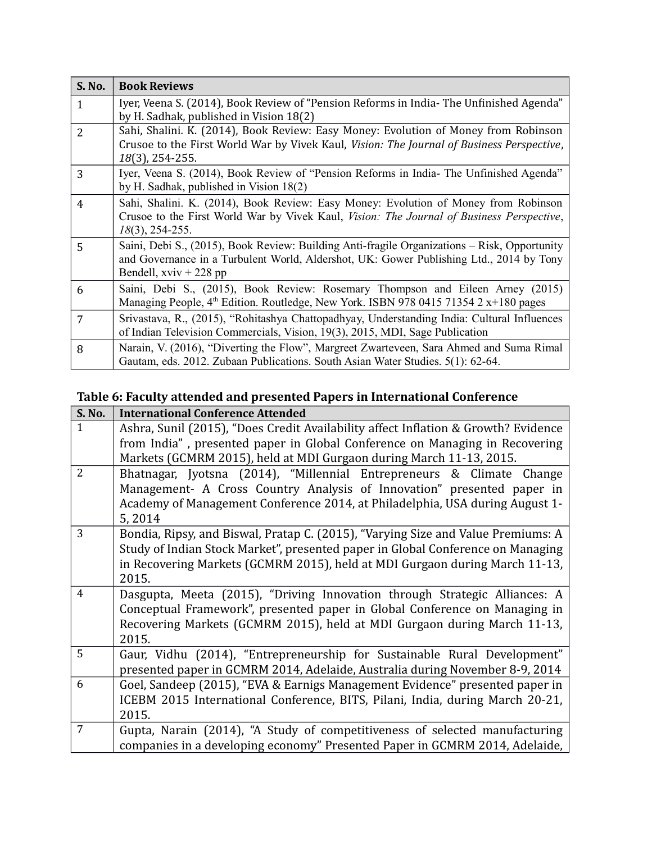| S. No.         | <b>Book Reviews</b>                                                                                                                                                                                                 |
|----------------|---------------------------------------------------------------------------------------------------------------------------------------------------------------------------------------------------------------------|
| $\mathbf{1}$   | Iyer, Veena S. (2014), Book Review of "Pension Reforms in India- The Unfinished Agenda"<br>by H. Sadhak, published in Vision 18(2)                                                                                  |
| $\overline{2}$ | Sahi, Shalini. K. (2014), Book Review: Easy Money: Evolution of Money from Robinson<br>Crusoe to the First World War by Vivek Kaul, Vision: The Journal of Business Perspective,<br>18(3), 254-255.                 |
| 3              | Iyer, Veena S. (2014), Book Review of "Pension Reforms in India- The Unfinished Agenda"<br>by H. Sadhak, published in Vision $18(2)$                                                                                |
| 4              | Sahi, Shalini. K. (2014), Book Review: Easy Money: Evolution of Money from Robinson<br>Crusoe to the First World War by Vivek Kaul, Vision: The Journal of Business Perspective,<br>$18(3)$ , 254-255.              |
| 5              | Saini, Debi S., (2015), Book Review: Building Anti-fragile Organizations – Risk, Opportunity<br>and Governance in a Turbulent World, Aldershot, UK: Gower Publishing Ltd., 2014 by Tony<br>Bendell, $xviv + 228$ pp |
| 6              | Saini, Debi S., (2015), Book Review: Rosemary Thompson and Eileen Arney (2015)<br>Managing People, 4 <sup>th</sup> Edition. Routledge, New York. ISBN 978 0415 71354 2 x+180 pages                                  |
| 7              | Srivastava, R., (2015), "Rohitashya Chattopadhyay, Understanding India: Cultural Influences<br>of Indian Television Commercials, Vision, 19(3), 2015, MDI, Sage Publication                                         |
| 8              | Narain, V. (2016), "Diverting the Flow", Margreet Zwarteveen, Sara Ahmed and Suma Rimal<br>Gautam, eds. 2012. Zubaan Publications. South Asian Water Studies. 5(1): 62-64.                                          |

# **Table 6: Faculty attended and presented Papers in International Conference**

| <b>S. No.</b>  | <b>International Conference Attended</b>                                           |
|----------------|------------------------------------------------------------------------------------|
| $\mathbf{1}$   | Ashra, Sunil (2015), "Does Credit Availability affect Inflation & Growth? Evidence |
|                | from India", presented paper in Global Conference on Managing in Recovering        |
|                | Markets (GCMRM 2015), held at MDI Gurgaon during March 11-13, 2015.                |
| $\overline{2}$ | Bhatnagar, Jyotsna (2014), "Millennial Entrepreneurs & Climate Change              |
|                | Management- A Cross Country Analysis of Innovation" presented paper in             |
|                | Academy of Management Conference 2014, at Philadelphia, USA during August 1-       |
|                | 5,2014                                                                             |
| 3              | Bondia, Ripsy, and Biswal, Pratap C. (2015), "Varying Size and Value Premiums: A   |
|                | Study of Indian Stock Market", presented paper in Global Conference on Managing    |
|                | in Recovering Markets (GCMRM 2015), held at MDI Gurgaon during March 11-13,        |
|                | 2015.                                                                              |
| $\overline{4}$ | Dasgupta, Meeta (2015), "Driving Innovation through Strategic Alliances: A         |
|                | Conceptual Framework", presented paper in Global Conference on Managing in         |
|                | Recovering Markets (GCMRM 2015), held at MDI Gurgaon during March 11-13,           |
|                | 2015.                                                                              |
| 5              | Gaur, Vidhu (2014), "Entrepreneurship for Sustainable Rural Development"           |
|                | presented paper in GCMRM 2014, Adelaide, Australia during November 8-9, 2014       |
| 6              | Goel, Sandeep (2015), "EVA & Earnigs Management Evidence" presented paper in       |
|                | ICEBM 2015 International Conference, BITS, Pilani, India, during March 20-21,      |
|                | 2015.                                                                              |
| $\overline{7}$ | Gupta, Narain (2014), "A Study of competitiveness of selected manufacturing        |
|                | companies in a developing economy" Presented Paper in GCMRM 2014, Adelaide,        |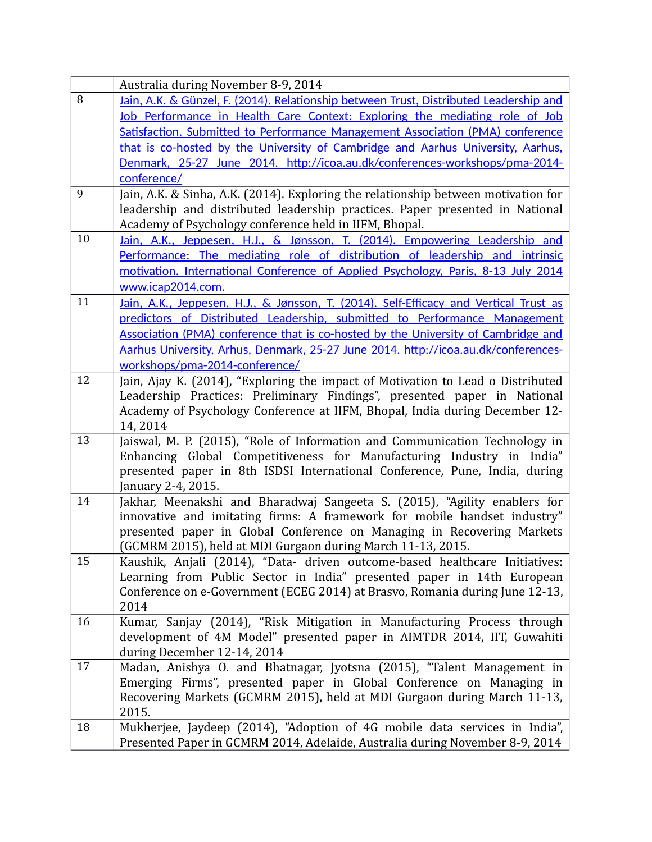|    | Australia during November 8-9, 2014                                                                                                                                                                                                                                                                                                                                             |
|----|---------------------------------------------------------------------------------------------------------------------------------------------------------------------------------------------------------------------------------------------------------------------------------------------------------------------------------------------------------------------------------|
| 8  | Jain, A.K. & Günzel, F. (2014). Relationship between Trust, Distributed Leadership and                                                                                                                                                                                                                                                                                          |
|    | Job Performance in Health Care Context: Exploring the mediating role of Job                                                                                                                                                                                                                                                                                                     |
|    | Satisfaction. Submitted to Performance Management Association (PMA) conference                                                                                                                                                                                                                                                                                                  |
|    | that is co-hosted by the University of Cambridge and Aarhus University, Aarhus,                                                                                                                                                                                                                                                                                                 |
|    | Denmark, 25-27 June 2014. http://icoa.au.dk/conferences-workshops/pma-2014-                                                                                                                                                                                                                                                                                                     |
|    | conference/                                                                                                                                                                                                                                                                                                                                                                     |
| 9  | Jain, A.K. & Sinha, A.K. (2014). Exploring the relationship between motivation for<br>leadership and distributed leadership practices. Paper presented in National<br>Academy of Psychology conference held in IIFM, Bhopal.                                                                                                                                                    |
| 10 | Jain, A.K., Jeppesen, H.J., & Jønsson, T. (2014). Empowering Leadership and                                                                                                                                                                                                                                                                                                     |
|    | Performance: The mediating role of distribution of leadership and intrinsic                                                                                                                                                                                                                                                                                                     |
|    | motivation. International Conference of Applied Psychology, Paris, 8-13 July 2014                                                                                                                                                                                                                                                                                               |
|    | www.icap2014.com.                                                                                                                                                                                                                                                                                                                                                               |
| 11 | Jain, A.K., Jeppesen, H.J., & Jønsson, T. (2014). Self-Efficacy and Vertical Trust as<br>predictors of Distributed Leadership, submitted to Performance Management<br>Association (PMA) conference that is co-hosted by the University of Cambridge and<br>Aarhus University, Arhus, Denmark, 25-27 June 2014. http://icoa.au.dk/conferences-<br>workshops/pma-2014-conference/ |
| 12 | Jain, Ajay K. (2014), "Exploring the impact of Motivation to Lead o Distributed<br>Leadership Practices: Preliminary Findings", presented paper in National<br>Academy of Psychology Conference at IIFM, Bhopal, India during December 12-<br>14,2014                                                                                                                           |
| 13 | Jaiswal, M. P. (2015), "Role of Information and Communication Technology in<br>Enhancing Global Competitiveness for Manufacturing Industry in India"<br>presented paper in 8th ISDSI International Conference, Pune, India, during<br>January 2-4, 2015.                                                                                                                        |
| 14 | Jakhar, Meenakshi and Bharadwaj Sangeeta S. (2015), "Agility enablers for<br>innovative and imitating firms: A framework for mobile handset industry"<br>presented paper in Global Conference on Managing in Recovering Markets<br>(GCMRM 2015), held at MDI Gurgaon during March 11-13, 2015.                                                                                  |
| 15 | Kaushik, Anjali (2014), "Data- driven outcome-based healthcare Initiatives:<br>Learning from Public Sector in India" presented paper in 14th European<br>Conference on e-Government (ECEG 2014) at Brasvo, Romania during June 12-13,<br>2014                                                                                                                                   |
| 16 | Kumar, Sanjay (2014), "Risk Mitigation in Manufacturing Process through<br>development of 4M Model" presented paper in AIMTDR 2014, IIT, Guwahiti<br>during December 12-14, 2014                                                                                                                                                                                                |
| 17 | Madan, Anishya O. and Bhatnagar, Jyotsna (2015), "Talent Management in<br>Emerging Firms", presented paper in Global Conference on Managing in<br>Recovering Markets (GCMRM 2015), held at MDI Gurgaon during March 11-13,<br>2015.                                                                                                                                             |
| 18 | Mukherjee, Jaydeep (2014), "Adoption of 4G mobile data services in India",<br>Presented Paper in GCMRM 2014, Adelaide, Australia during November 8-9, 2014                                                                                                                                                                                                                      |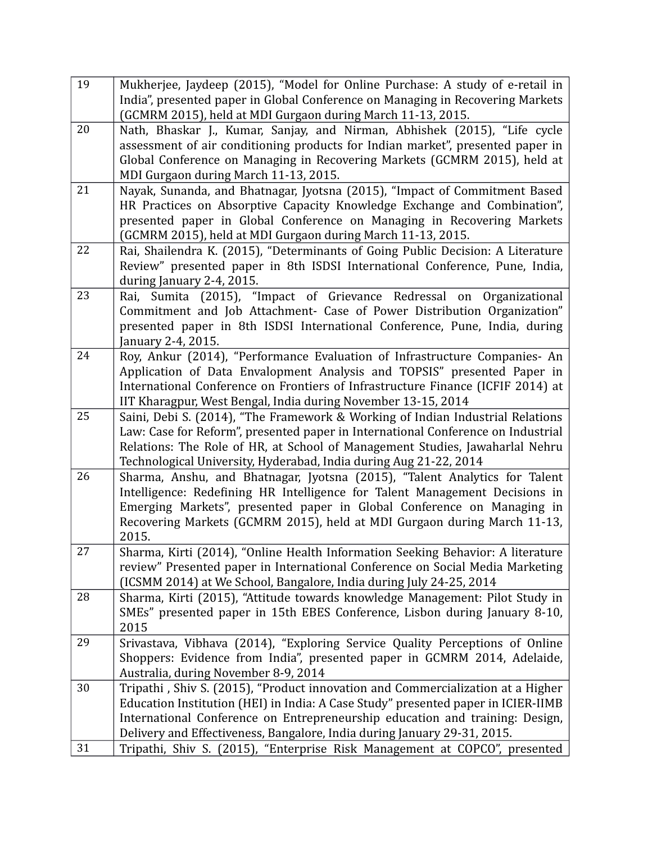| 19 | Mukherjee, Jaydeep (2015), "Model for Online Purchase: A study of e-retail in                                                                   |
|----|-------------------------------------------------------------------------------------------------------------------------------------------------|
|    | India", presented paper in Global Conference on Managing in Recovering Markets                                                                  |
|    | (GCMRM 2015), held at MDI Gurgaon during March 11-13, 2015.                                                                                     |
| 20 | Nath, Bhaskar J., Kumar, Sanjay, and Nirman, Abhishek (2015), "Life cycle                                                                       |
|    | assessment of air conditioning products for Indian market", presented paper in                                                                  |
|    | Global Conference on Managing in Recovering Markets (GCMRM 2015), held at                                                                       |
|    | MDI Gurgaon during March 11-13, 2015.                                                                                                           |
| 21 | Nayak, Sunanda, and Bhatnagar, Jyotsna (2015), "Impact of Commitment Based                                                                      |
|    | HR Practices on Absorptive Capacity Knowledge Exchange and Combination",                                                                        |
|    | presented paper in Global Conference on Managing in Recovering Markets                                                                          |
|    | (GCMRM 2015), held at MDI Gurgaon during March 11-13, 2015.                                                                                     |
| 22 | Rai, Shailendra K. (2015), "Determinants of Going Public Decision: A Literature                                                                 |
|    | Review" presented paper in 8th ISDSI International Conference, Pune, India,                                                                     |
| 23 | during January 2-4, 2015.                                                                                                                       |
|    | Rai, Sumita (2015), "Impact of Grievance Redressal on Organizational<br>Commitment and Job Attachment- Case of Power Distribution Organization" |
|    | presented paper in 8th ISDSI International Conference, Pune, India, during                                                                      |
|    | January 2-4, 2015.                                                                                                                              |
| 24 | Roy, Ankur (2014), "Performance Evaluation of Infrastructure Companies- An                                                                      |
|    | Application of Data Envalopment Analysis and TOPSIS" presented Paper in                                                                         |
|    | International Conference on Frontiers of Infrastructure Finance (ICFIF 2014) at                                                                 |
|    | IIT Kharagpur, West Bengal, India during November 13-15, 2014                                                                                   |
| 25 | Saini, Debi S. (2014), "The Framework & Working of Indian Industrial Relations                                                                  |
|    | Law: Case for Reform", presented paper in International Conference on Industrial                                                                |
|    | Relations: The Role of HR, at School of Management Studies, Jawaharlal Nehru                                                                    |
|    | Technological University, Hyderabad, India during Aug 21-22, 2014                                                                               |
| 26 | Sharma, Anshu, and Bhatnagar, Jyotsna (2015), "Talent Analytics for Talent                                                                      |
|    | Intelligence: Redefining HR Intelligence for Talent Management Decisions in                                                                     |
|    | Emerging Markets", presented paper in Global Conference on Managing in                                                                          |
|    | Recovering Markets (GCMRM 2015), held at MDI Gurgaon during March 11-13,<br>2015.                                                               |
| 27 | Sharma, Kirti (2014), "Online Health Information Seeking Behavior: A literature                                                                 |
|    | review" Presented paper in International Conference on Social Media Marketing                                                                   |
|    | (ICSMM 2014) at We School, Bangalore, India during July 24-25, 2014                                                                             |
| 28 | Sharma, Kirti (2015), "Attitude towards knowledge Management: Pilot Study in                                                                    |
|    | SMEs" presented paper in 15th EBES Conference, Lisbon during January 8-10,                                                                      |
|    | 2015                                                                                                                                            |
| 29 | Srivastava, Vibhava (2014), "Exploring Service Quality Perceptions of Online                                                                    |
|    | Shoppers: Evidence from India", presented paper in GCMRM 2014, Adelaide,                                                                        |
|    | Australia, during November 8-9, 2014                                                                                                            |
| 30 | Tripathi, Shiv S. (2015), "Product innovation and Commercialization at a Higher                                                                 |
|    | Education Institution (HEI) in India: A Case Study" presented paper in ICIER-IIMB                                                               |
|    | International Conference on Entrepreneurship education and training: Design,                                                                    |
|    | Delivery and Effectiveness, Bangalore, India during January 29-31, 2015.                                                                        |
| 31 | Tripathi, Shiv S. (2015), "Enterprise Risk Management at COPCO", presented                                                                      |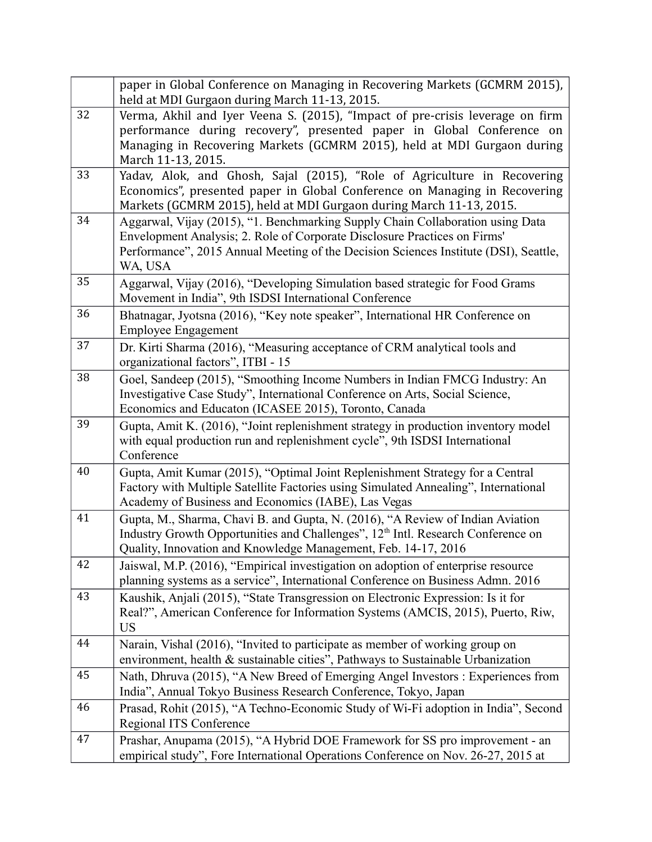|    | paper in Global Conference on Managing in Recovering Markets (GCMRM 2015),<br>held at MDI Gurgaon during March 11-13, 2015.                                                                                                                                    |
|----|----------------------------------------------------------------------------------------------------------------------------------------------------------------------------------------------------------------------------------------------------------------|
| 32 | Verma, Akhil and Iyer Veena S. (2015), "Impact of pre-crisis leverage on firm<br>performance during recovery", presented paper in Global Conference on<br>Managing in Recovering Markets (GCMRM 2015), held at MDI Gurgaon during<br>March 11-13, 2015.        |
| 33 | Yadav, Alok, and Ghosh, Sajal (2015), "Role of Agriculture in Recovering<br>Economics", presented paper in Global Conference on Managing in Recovering<br>Markets (GCMRM 2015), held at MDI Gurgaon during March 11-13, 2015.                                  |
| 34 | Aggarwal, Vijay (2015), "1. Benchmarking Supply Chain Collaboration using Data<br>Envelopment Analysis; 2. Role of Corporate Disclosure Practices on Firms'<br>Performance", 2015 Annual Meeting of the Decision Sciences Institute (DSI), Seattle,<br>WA, USA |
| 35 | Aggarwal, Vijay (2016), "Developing Simulation based strategic for Food Grams<br>Movement in India", 9th ISDSI International Conference                                                                                                                        |
| 36 | Bhatnagar, Jyotsna (2016), "Key note speaker", International HR Conference on<br><b>Employee Engagement</b>                                                                                                                                                    |
| 37 | Dr. Kirti Sharma (2016), "Measuring acceptance of CRM analytical tools and<br>organizational factors", ITBI - 15                                                                                                                                               |
| 38 | Goel, Sandeep (2015), "Smoothing Income Numbers in Indian FMCG Industry: An<br>Investigative Case Study", International Conference on Arts, Social Science,<br>Economics and Educaton (ICASEE 2015), Toronto, Canada                                           |
| 39 | Gupta, Amit K. (2016), "Joint replenishment strategy in production inventory model<br>with equal production run and replenishment cycle", 9th ISDSI International<br>Conference                                                                                |
| 40 | Gupta, Amit Kumar (2015), "Optimal Joint Replenishment Strategy for a Central<br>Factory with Multiple Satellite Factories using Simulated Annealing", International<br>Academy of Business and Economics (IABE), Las Vegas                                    |
| 41 | Gupta, M., Sharma, Chavi B. and Gupta, N. (2016), "A Review of Indian Aviation<br>Industry Growth Opportunities and Challenges", 12 <sup>th</sup> Intl. Research Conference on<br>Quality, Innovation and Knowledge Management, Feb. 14-17, 2016               |
| 42 | Jaiswal, M.P. (2016), "Empirical investigation on adoption of enterprise resource<br>planning systems as a service", International Conference on Business Admn. 2016                                                                                           |
| 43 | Kaushik, Anjali (2015), "State Transgression on Electronic Expression: Is it for<br>Real?", American Conference for Information Systems (AMCIS, 2015), Puerto, Riw,<br><b>US</b>                                                                               |
| 44 | Narain, Vishal (2016), "Invited to participate as member of working group on<br>environment, health & sustainable cities", Pathways to Sustainable Urbanization                                                                                                |
| 45 | Nath, Dhruva (2015), "A New Breed of Emerging Angel Investors : Experiences from<br>India", Annual Tokyo Business Research Conference, Tokyo, Japan                                                                                                            |
| 46 | Prasad, Rohit (2015), "A Techno-Economic Study of Wi-Fi adoption in India", Second<br>Regional ITS Conference                                                                                                                                                  |
| 47 | Prashar, Anupama (2015), "A Hybrid DOE Framework for SS pro improvement - an<br>empirical study", Fore International Operations Conference on Nov. 26-27, 2015 at                                                                                              |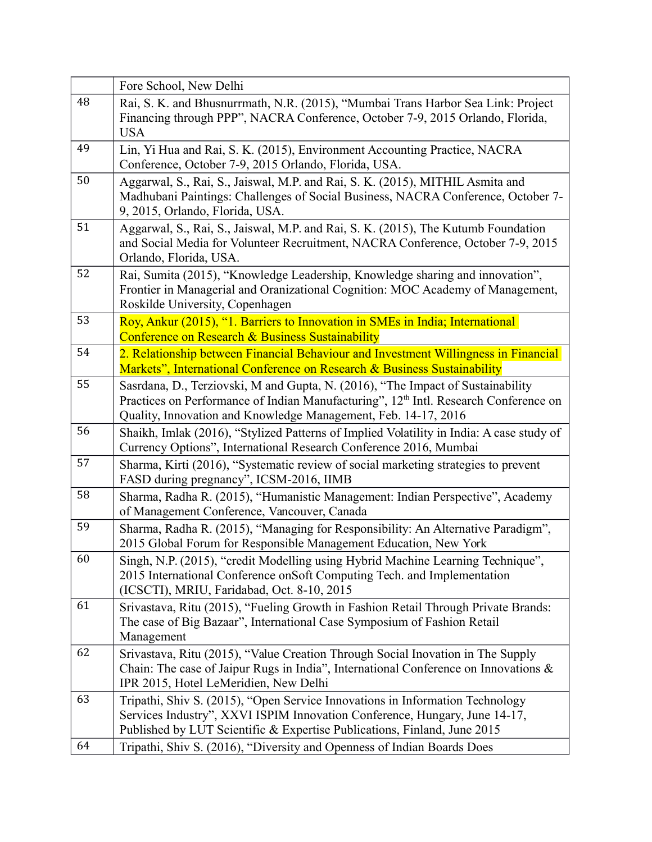|    | Fore School, New Delhi                                                                                                                                                                                                                                |
|----|-------------------------------------------------------------------------------------------------------------------------------------------------------------------------------------------------------------------------------------------------------|
| 48 | Rai, S. K. and Bhusnurrmath, N.R. (2015), "Mumbai Trans Harbor Sea Link: Project<br>Financing through PPP", NACRA Conference, October 7-9, 2015 Orlando, Florida,<br><b>USA</b>                                                                       |
| 49 | Lin, Yi Hua and Rai, S. K. (2015), Environment Accounting Practice, NACRA<br>Conference, October 7-9, 2015 Orlando, Florida, USA.                                                                                                                     |
| 50 | Aggarwal, S., Rai, S., Jaiswal, M.P. and Rai, S. K. (2015), MITHIL Asmita and<br>Madhubani Paintings: Challenges of Social Business, NACRA Conference, October 7-<br>9, 2015, Orlando, Florida, USA.                                                  |
| 51 | Aggarwal, S., Rai, S., Jaiswal, M.P. and Rai, S. K. (2015), The Kutumb Foundation<br>and Social Media for Volunteer Recruitment, NACRA Conference, October 7-9, 2015<br>Orlando, Florida, USA.                                                        |
| 52 | Rai, Sumita (2015), "Knowledge Leadership, Knowledge sharing and innovation",<br>Frontier in Managerial and Oranizational Cognition: MOC Academy of Management,<br>Roskilde University, Copenhagen                                                    |
| 53 | Roy, Ankur (2015), "1. Barriers to Innovation in SMEs in India; International<br>Conference on Research & Business Sustainability                                                                                                                     |
| 54 | 2. Relationship between Financial Behaviour and Investment Willingness in Financial<br>Markets", International Conference on Research & Business Sustainability                                                                                       |
| 55 | Sasrdana, D., Terziovski, M and Gupta, N. (2016), "The Impact of Sustainability<br>Practices on Performance of Indian Manufacturing", 12 <sup>th</sup> Intl. Research Conference on<br>Quality, Innovation and Knowledge Management, Feb. 14-17, 2016 |
| 56 | Shaikh, Imlak (2016), "Stylized Patterns of Implied Volatility in India: A case study of<br>Currency Options", International Research Conference 2016, Mumbai                                                                                         |
| 57 | Sharma, Kirti (2016), "Systematic review of social marketing strategies to prevent<br>FASD during pregnancy", ICSM-2016, IIMB                                                                                                                         |
| 58 | Sharma, Radha R. (2015), "Humanistic Management: Indian Perspective", Academy<br>of Management Conference, Vancouver, Canada                                                                                                                          |
| 59 | Sharma, Radha R. (2015), "Managing for Responsibility: An Alternative Paradigm",<br>2015 Global Forum for Responsible Management Education, New York                                                                                                  |
| 60 | Singh, N.P. (2015), "credit Modelling using Hybrid Machine Learning Technique",<br>2015 International Conference onSoft Computing Tech. and Implementation<br>(ICSCTI), MRIU, Faridabad, Oct. 8-10, 2015                                              |
| 61 | Srivastava, Ritu (2015), "Fueling Growth in Fashion Retail Through Private Brands:<br>The case of Big Bazaar", International Case Symposium of Fashion Retail<br>Management                                                                           |
| 62 | Srivastava, Ritu (2015), "Value Creation Through Social Inovation in The Supply<br>Chain: The case of Jaipur Rugs in India", International Conference on Innovations &<br>IPR 2015, Hotel LeMeridien, New Delhi                                       |
| 63 | Tripathi, Shiv S. (2015), "Open Service Innovations in Information Technology<br>Services Industry", XXVI ISPIM Innovation Conference, Hungary, June 14-17,<br>Published by LUT Scientific & Expertise Publications, Finland, June 2015               |
| 64 | Tripathi, Shiv S. (2016), "Diversity and Openness of Indian Boards Does                                                                                                                                                                               |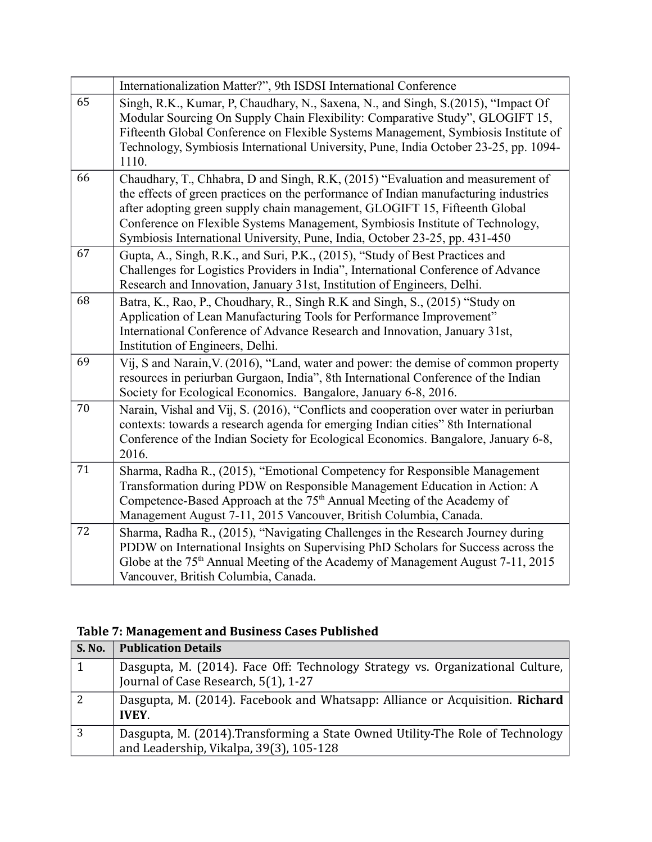|    | Internationalization Matter?", 9th ISDSI International Conference                                                                                                                                                                                                                                                                                                                                                     |
|----|-----------------------------------------------------------------------------------------------------------------------------------------------------------------------------------------------------------------------------------------------------------------------------------------------------------------------------------------------------------------------------------------------------------------------|
| 65 | Singh, R.K., Kumar, P. Chaudhary, N., Saxena, N., and Singh, S.(2015), "Impact Of<br>Modular Sourcing On Supply Chain Flexibility: Comparative Study", GLOGIFT 15,<br>Fifteenth Global Conference on Flexible Systems Management, Symbiosis Institute of<br>Technology, Symbiosis International University, Pune, India October 23-25, pp. 1094-<br>1110.                                                             |
| 66 | Chaudhary, T., Chhabra, D and Singh, R.K. (2015) "Evaluation and measurement of<br>the effects of green practices on the performance of Indian manufacturing industries<br>after adopting green supply chain management, GLOGIFT 15, Fifteenth Global<br>Conference on Flexible Systems Management, Symbiosis Institute of Technology,<br>Symbiosis International University, Pune, India, October 23-25, pp. 431-450 |
| 67 | Gupta, A., Singh, R.K., and Suri, P.K., (2015), "Study of Best Practices and<br>Challenges for Logistics Providers in India", International Conference of Advance<br>Research and Innovation, January 31st, Institution of Engineers, Delhi.                                                                                                                                                                          |
| 68 | Batra, K., Rao, P., Choudhary, R., Singh R.K and Singh, S., (2015) "Study on<br>Application of Lean Manufacturing Tools for Performance Improvement"<br>International Conference of Advance Research and Innovation, January 31st,<br>Institution of Engineers, Delhi.                                                                                                                                                |
| 69 | Vij, S and Narain, V. (2016), "Land, water and power: the demise of common property<br>resources in periurban Gurgaon, India", 8th International Conference of the Indian<br>Society for Ecological Economics. Bangalore, January 6-8, 2016.                                                                                                                                                                          |
| 70 | Narain, Vishal and Vij, S. (2016), "Conflicts and cooperation over water in periurban<br>contexts: towards a research agenda for emerging Indian cities" 8th International<br>Conference of the Indian Society for Ecological Economics. Bangalore, January 6-8,<br>2016.                                                                                                                                             |
| 71 | Sharma, Radha R., (2015), "Emotional Competency for Responsible Management<br>Transformation during PDW on Responsible Management Education in Action: A<br>Competence-Based Approach at the 75 <sup>th</sup> Annual Meeting of the Academy of<br>Management August 7-11, 2015 Vancouver, British Columbia, Canada.                                                                                                   |
| 72 | Sharma, Radha R., (2015), "Navigating Challenges in the Research Journey during<br>PDDW on International Insights on Supervising PhD Scholars for Success across the<br>Globe at the 75 <sup>th</sup> Annual Meeting of the Academy of Management August 7-11, 2015<br>Vancouver, British Columbia, Canada.                                                                                                           |

### **Table 7: Management and Business Cases Published**

| <b>S. No.</b> | <b>Publication Details</b>                                                                                                |
|---------------|---------------------------------------------------------------------------------------------------------------------------|
|               | Dasgupta, M. (2014). Face Off: Technology Strategy vs. Organizational Culture,<br>Journal of Case Research, 5(1), 1-27    |
| 2             | Dasgupta, M. (2014). Facebook and Whatsapp: Alliance or Acquisition. Richard<br><b>IVEY.</b>                              |
| 3             | Dasgupta, M. (2014). Transforming a State Owned Utility-The Role of Technology<br>and Leadership, Vikalpa, 39(3), 105-128 |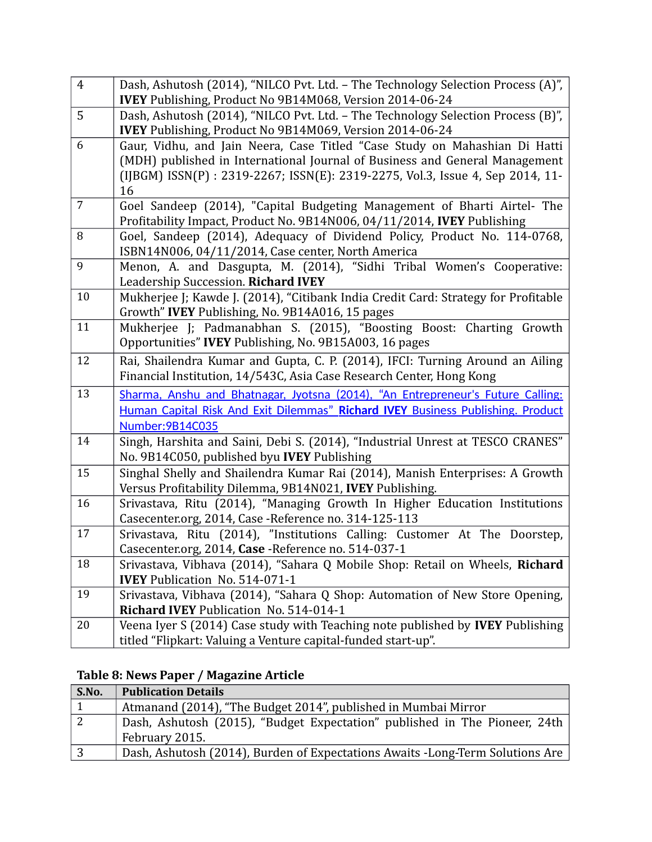| $\overline{4}$ | Dash, Ashutosh (2014), "NILCO Pvt. Ltd. - The Technology Selection Process (A)",<br>IVEY Publishing, Product No 9B14M068, Version 2014-06-24                                                                                                      |
|----------------|---------------------------------------------------------------------------------------------------------------------------------------------------------------------------------------------------------------------------------------------------|
| 5              | Dash, Ashutosh (2014), "NILCO Pvt. Ltd. - The Technology Selection Process (B)",<br>IVEY Publishing, Product No 9B14M069, Version 2014-06-24                                                                                                      |
| 6              | Gaur, Vidhu, and Jain Neera, Case Titled "Case Study on Mahashian Di Hatti<br>(MDH) published in International Journal of Business and General Management<br>(IJBGM) ISSN(P) : 2319-2267; ISSN(E): 2319-2275, Vol.3, Issue 4, Sep 2014, 11-<br>16 |
| $\overline{7}$ | Goel Sandeep (2014), "Capital Budgeting Management of Bharti Airtel- The<br>Profitability Impact, Product No. 9B14N006, 04/11/2014, IVEY Publishing                                                                                               |
| 8              | Goel, Sandeep (2014), Adequacy of Dividend Policy, Product No. 114-0768,<br>ISBN14N006, 04/11/2014, Case center, North America                                                                                                                    |
| 9              | Menon, A. and Dasgupta, M. (2014), "Sidhi Tribal Women's Cooperative:<br>Leadership Succession. Richard IVEY                                                                                                                                      |
| 10             | Mukherjee J; Kawde J. (2014), "Citibank India Credit Card: Strategy for Profitable<br>Growth" IVEY Publishing, No. 9B14A016, 15 pages                                                                                                             |
| 11             | Mukherjee J; Padmanabhan S. (2015), "Boosting Boost: Charting Growth<br>Opportunities" IVEY Publishing, No. 9B15A003, 16 pages                                                                                                                    |
| 12             | Rai, Shailendra Kumar and Gupta, C. P. (2014), IFCI: Turning Around an Ailing<br>Financial Institution, 14/543C, Asia Case Research Center, Hong Kong                                                                                             |
| 13             | Sharma, Anshu and Bhatnagar, Jyotsna (2014), "An Entrepreneur's Future Calling:<br>Human Capital Risk And Exit Dilemmas" Richard IVEY Business Publishing. Product<br>Number: 9B14C035                                                            |
| 14             | Singh, Harshita and Saini, Debi S. (2014), "Industrial Unrest at TESCO CRANES"<br>No. 9B14C050, published byu IVEY Publishing                                                                                                                     |
| 15             | Singhal Shelly and Shailendra Kumar Rai (2014), Manish Enterprises: A Growth<br>Versus Profitability Dilemma, 9B14N021, IVEY Publishing.                                                                                                          |
| 16             | Srivastava, Ritu (2014), "Managing Growth In Higher Education Institutions<br>Casecenter.org, 2014, Case - Reference no. 314-125-113                                                                                                              |
| 17             | Srivastava, Ritu (2014), "Institutions Calling: Customer At The Doorstep,<br>Casecenter.org, 2014, Case - Reference no. 514-037-1                                                                                                                 |
| 18             | Srivastava, Vibhava (2014), "Sahara Q Mobile Shop: Retail on Wheels, Richard<br><b>IVEY</b> Publication No. 514-071-1                                                                                                                             |
| 19             | Srivastava, Vibhava (2014), "Sahara Q Shop: Automation of New Store Opening,<br>Richard IVEY Publication No. 514-014-1                                                                                                                            |
| 20             | Veena Iyer S (2014) Case study with Teaching note published by <b>IVEY</b> Publishing<br>titled "Flipkart: Valuing a Venture capital-funded start-up".                                                                                            |

# **Table 8: News Paper / Magazine Article**

| S.No.          | <b>Publication Details</b>                                                    |
|----------------|-------------------------------------------------------------------------------|
|                | Atmanand (2014), "The Budget 2014", published in Mumbai Mirror                |
| $\overline{2}$ | Dash, Ashutosh (2015), "Budget Expectation" published in The Pioneer, 24th    |
|                | February 2015.                                                                |
| 3              | Dash, Ashutosh (2014), Burden of Expectations Awaits -Long-Term Solutions Are |